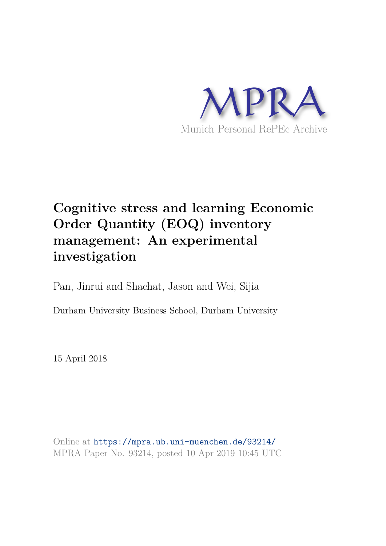

# **Cognitive stress and learning Economic Order Quantity (EOQ) inventory management: An experimental investigation**

Pan, Jinrui and Shachat, Jason and Wei, Sijia

Durham University Business School, Durham University

15 April 2018

Online at https://mpra.ub.uni-muenchen.de/93214/ MPRA Paper No. 93214, posted 10 Apr 2019 10:45 UTC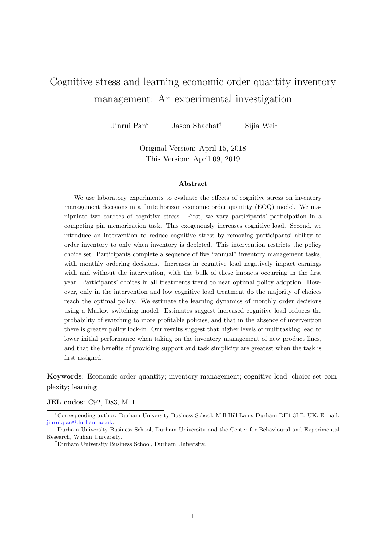# Cognitive stress and learning economic order quantity inventory management: An experimental investigation

Jinrui Pan<sup>\*</sup> Jason Shachat<sup>†</sup> Sijia Wei<sup>‡</sup>

Original Version: April 15, 2018 This Version: April 09, 2019

#### Abstract

We use laboratory experiments to evaluate the effects of cognitive stress on inventory management decisions in a finite horizon economic order quantity (EOQ) model. We manipulate two sources of cognitive stress. First, we vary participants' participation in a competing pin memorization task. This exogenously increases cognitive load. Second, we introduce an intervention to reduce cognitive stress by removing participants' ability to order inventory to only when inventory is depleted. This intervention restricts the policy choice set. Participants complete a sequence of five "annual" inventory management tasks, with monthly ordering decisions. Increases in cognitive load negatively impact earnings with and without the intervention, with the bulk of these impacts occurring in the first year. Participants' choices in all treatments trend to near optimal policy adoption. However, only in the intervention and low cognitive load treatment do the majority of choices reach the optimal policy. We estimate the learning dynamics of monthly order decisions using a Markov switching model. Estimates suggest increased cognitive load reduces the probability of switching to more profitable policies, and that in the absence of intervention there is greater policy lock-in. Our results suggest that higher levels of multitasking lead to lower initial performance when taking on the inventory management of new product lines, and that the benefits of providing support and task simplicity are greatest when the task is first assigned.

Keywords: Economic order quantity; inventory management; cognitive load; choice set complexity; learning

#### JEL codes: C92, D83, M11

<sup>✯</sup>Corresponding author. Durham University Business School, Mill Hill Lane, Durham DH1 3LB, UK. E-mail: jinrui.pan@durham.ac.uk.

<sup>&</sup>lt;sup>†</sup>Durham University Business School, Durham University and the Center for Behavioural and Experimental Research, Wuhan University.

<sup>❹</sup>Durham University Business School, Durham University.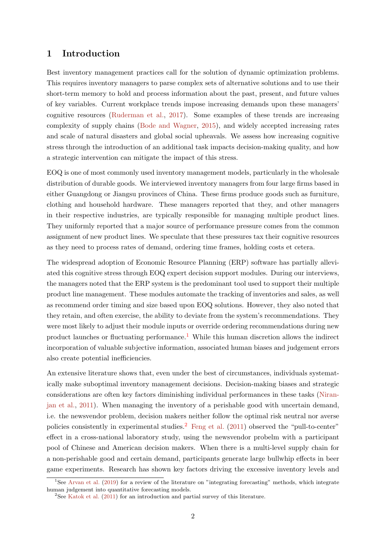# 1 Introduction

Best inventory management practices call for the solution of dynamic optimization problems. This requires inventory managers to parse complex sets of alternative solutions and to use their short-term memory to hold and process information about the past, present, and future values of key variables. Current workplace trends impose increasing demands upon these managers' cognitive resources (Ruderman et al., 2017). Some examples of these trends are increasing complexity of supply chains (Bode and Wagner, 2015), and widely accepted increasing rates and scale of natural disasters and global social upheavals. We assess how increasing cognitive stress through the introduction of an additional task impacts decision-making quality, and how a strategic intervention can mitigate the impact of this stress.

EOQ is one of most commonly used inventory management models, particularly in the wholesale distribution of durable goods. We interviewed inventory managers from four large firms based in either Guangdong or Jiangsu provinces of China. These firms produce goods such as furniture, clothing and household hardware. These managers reported that they, and other managers in their respective industries, are typically responsible for managing multiple product lines. They uniformly reported that a major source of performance pressure comes from the common assignment of new product lines. We speculate that these pressures tax their cognitive resources as they need to process rates of demand, ordering time frames, holding costs et cetera.

The widespread adoption of Economic Resource Planning (ERP) software has partially alleviated this cognitive stress through EOQ expert decision support modules. During our interviews, the managers noted that the ERP system is the predominant tool used to support their multiple product line management. These modules automate the tracking of inventories and sales, as well as recommend order timing and size based upon EOQ solutions. However, they also noted that they retain, and often exercise, the ability to deviate from the system's recommendations. They were most likely to adjust their module inputs or override ordering recommendations during new product launches or fluctuating performance.<sup>1</sup> While this human discretion allows the indirect incorporation of valuable subjective information, associated human biases and judgement errors also create potential inefficiencies.

An extensive literature shows that, even under the best of circumstances, individuals systematically make suboptimal inventory management decisions. Decision-making biases and strategic considerations are often key factors diminishing individual performances in these tasks (Niranjan et al., 2011). When managing the inventory of a perishable good with uncertain demand, i.e. the newsvendor problem, decision makers neither follow the optimal risk neutral nor averse policies consistently in experimental studies.<sup>2</sup> Feng et al.  $(2011)$  observed the "pull-to-center" effect in a cross-national laboratory study, using the newsvendor probelm with a participant pool of Chinese and American decision makers. When there is a multi-level supply chain for a non-perishable good and certain demand, participants generate large bullwhip effects in beer game experiments. Research has shown key factors driving the excessive inventory levels and

<sup>1</sup>See Arvan et al. (2019) for a review of the literature on "integrating forecasting" methods, which integrate human judgement into quantitative forecasting models.

<sup>&</sup>lt;sup>2</sup>See Katok et al.  $(2011)$  for an introduction and partial survey of this literature.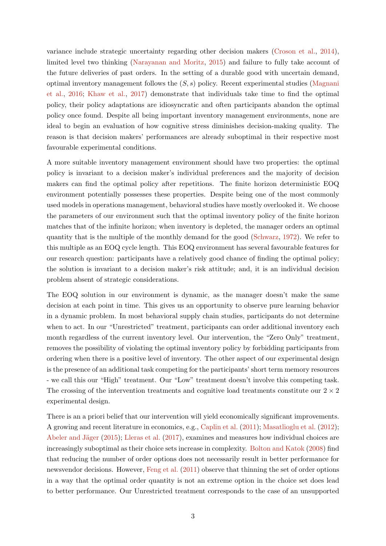variance include strategic uncertainty regarding other decision makers (Croson et al., 2014), limited level two thinking (Narayanan and Moritz, 2015) and failure to fully take account of the future deliveries of past orders. In the setting of a durable good with uncertain demand, optimal inventory management follows the  $(S, s)$  policy. Recent experimental studies (Magnani et al., 2016; Khaw et al., 2017) demonstrate that individuals take time to find the optimal policy, their policy adaptations are idiosyncratic and often participants abandon the optimal policy once found. Despite all being important inventory management environments, none are ideal to begin an evaluation of how cognitive stress diminishes decision-making quality. The reason is that decision makers' performances are already suboptimal in their respective most favourable experimental conditions.

A more suitable inventory management environment should have two properties: the optimal policy is invariant to a decision maker's individual preferences and the majority of decision makers can find the optimal policy after repetitions. The finite horizon deterministic EOQ environment potentially possesses these properties. Despite being one of the most commonly used models in operations management, behavioral studies have mostly overlooked it. We choose the parameters of our environment such that the optimal inventory policy of the finite horizon matches that of the infinite horizon; when inventory is depleted, the manager orders an optimal quantity that is the multiple of the monthly demand for the good (Schwarz, 1972). We refer to this multiple as an EOQ cycle length. This EOQ environment has several favourable features for our research question: participants have a relatively good chance of finding the optimal policy; the solution is invariant to a decision maker's risk attitude; and, it is an individual decision problem absent of strategic considerations.

The EOQ solution in our environment is dynamic, as the manager doesn't make the same decision at each point in time. This gives us an opportunity to observe pure learning behavior in a dynamic problem. In most behavioral supply chain studies, participants do not determine when to act. In our "Unrestricted" treatment, participants can order additional inventory each month regardless of the current inventory level. Our intervention, the "Zero Only" treatment, removes the possibility of violating the optimal inventory policy by forbidding participants from ordering when there is a positive level of inventory. The other aspect of our experimental design is the presence of an additional task competing for the participants' short term memory resources - we call this our "High" treatment. Our "Low" treatment doesn't involve this competing task. The crossing of the intervention treatments and cognitive load treatments constitute our  $2 \times 2$ experimental design.

There is an a priori belief that our intervention will yield economically significant improvements. A growing and recent literature in economics, e.g., Caplin et al. (2011); Masatlioglu et al. (2012); Abeler and Jäger  $(2015)$ ; Lleras et al.  $(2017)$ , examines and measures how individual choices are increasingly suboptimal as their choice sets increase in complexity. Bolton and Katok (2008) find that reducing the number of order options does not necessarily result in better performance for newsvendor decisions. However, Feng et al. (2011) observe that thinning the set of order options in a way that the optimal order quantity is not an extreme option in the choice set does lead to better performance. Our Unrestricted treatment corresponds to the case of an unsupported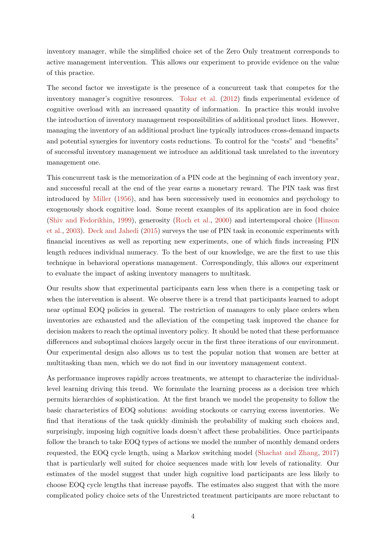inventory manager, while the simplified choice set of the Zero Only treatment corresponds to active management intervention. This allows our experiment to provide evidence on the value of this practice.

The second factor we investigate is the presence of a concurrent task that competes for the inventory manager's cognitive resources. Tokar et al. (2012) finds experimental evidence of cognitive overload with an increased quantity of information. In practice this would involve the introduction of inventory management responsibilities of additional product lines. However, managing the inventory of an additional product line typically introduces cross-demand impacts and potential synergies for inventory costs reductions. To control for the "costs" and "benefits" of successful inventory management we introduce an additional task unrelated to the inventory management one.

This concurrent task is the memorization of a PIN code at the beginning of each inventory year, and successful recall at the end of the year earns a monetary reward. The PIN task was first introduced by Miller (1956), and has been successively used in economics and psychology to exogenously shock cognitive load. Some recent examples of its application are in food choice (Shiv and Fedorikhin, 1999), generosity (Roch et al., 2000) and intertemporal choice (Hinson et al., 2003). Deck and Jahedi (2015) surveys the use of PIN task in economic experiments with financial incentives as well as reporting new experiments, one of which finds increasing PIN length reduces individual numeracy. To the best of our knowledge, we are the first to use this technique in behavioral operations management. Correspondingly, this allows our experiment to evaluate the impact of asking inventory managers to multitask.

Our results show that experimental participants earn less when there is a competing task or when the intervention is absent. We observe there is a trend that participants learned to adopt near optimal EOQ policies in general. The restriction of managers to only place orders when inventories are exhausted and the alleviation of the competing task improved the chance for decision makers to reach the optimal inventory policy. It should be noted that these performance differences and suboptimal choices largely occur in the first three iterations of our environment. Our experimental design also allows us to test the popular notion that women are better at multitasking than men, which we do not find in our inventory management context.

As performance improves rapidly across treatments, we attempt to characterize the individuallevel learning driving this trend. We formulate the learning process as a decision tree which permits hierarchies of sophistication. At the first branch we model the propensity to follow the basic characteristics of EOQ solutions: avoiding stockouts or carrying excess inventories. We find that iterations of the task quickly diminish the probability of making such choices and, surprisingly, imposing high cognitive loads doesn't affect these probabilities. Once participants follow the branch to take EOQ types of actions we model the number of monthly demand orders requested, the EOQ cycle length, using a Markov switching model (Shachat and Zhang, 2017) that is particularly well suited for choice sequences made with low levels of rationality. Our estimates of the model suggest that under high cognitive load participants are less likely to choose EOQ cycle lengths that increase payoffs. The estimates also suggest that with the more complicated policy choice sets of the Unrestricted treatment participants are more reluctant to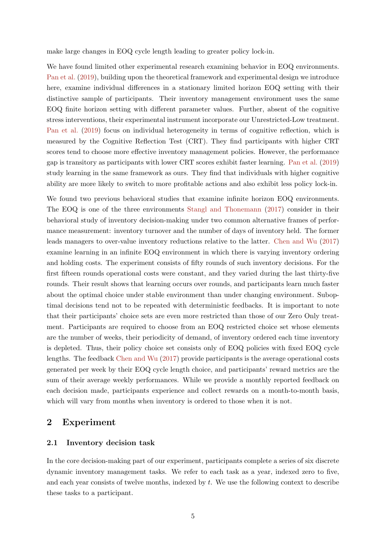make large changes in EOQ cycle length leading to greater policy lock-in.

We have found limited other experimental research examining behavior in EOQ environments. Pan et al. (2019), building upon the theoretical framework and experimental design we introduce here, examine individual differences in a stationary limited horizon EOQ setting with their distinctive sample of participants. Their inventory management environment uses the same EOQ finite horizon setting with different parameter values. Further, absent of the cognitive stress interventions, their experimental instrument incorporate our Unrestricted-Low treatment. Pan et al. (2019) focus on individual heterogeneity in terms of cognitive reflection, which is measured by the Cognitive Reflection Test (CRT). They find participants with higher CRT scores tend to choose more effective inventory management policies. However, the performance gap is transitory as participants with lower CRT scores exhibit faster learning. Pan et al. (2019) study learning in the same framework as ours. They find that individuals with higher cognitive ability are more likely to switch to more profitable actions and also exhibit less policy lock-in.

We found two previous behavioral studies that examine infinite horizon EOQ environments. The EOQ is one of the three environments Stangl and Thonemann (2017) consider in their behavioral study of inventory decision-making under two common alternative frames of performance measurement: inventory turnover and the number of days of inventory held. The former leads managers to over-value inventory reductions relative to the latter. Chen and Wu (2017) examine learning in an infinite EOQ environment in which there is varying inventory ordering and holding costs. The experiment consists of fifty rounds of such inventory decisions. For the first fifteen rounds operational costs were constant, and they varied during the last thirty-five rounds. Their result shows that learning occurs over rounds, and participants learn much faster about the optimal choice under stable environment than under changing environment. Suboptimal decisions tend not to be repeated with deterministic feedbacks. It is important to note that their participants' choice sets are even more restricted than those of our Zero Only treatment. Participants are required to choose from an EOQ restricted choice set whose elements are the number of weeks, their periodicity of demand, of inventory ordered each time inventory is depleted. Thus, their policy choice set consists only of EOQ policies with fixed EOQ cycle lengths. The feedback Chen and Wu (2017) provide participants is the average operational costs generated per week by their EOQ cycle length choice, and participants' reward metrics are the sum of their average weekly performances. While we provide a monthly reported feedback on each decision made, participants experience and collect rewards on a month-to-month basis, which will vary from months when inventory is ordered to those when it is not.

# 2 Experiment

#### 2.1 Inventory decision task

In the core decision-making part of our experiment, participants complete a series of six discrete dynamic inventory management tasks. We refer to each task as a year, indexed zero to five, and each year consists of twelve months, indexed by  $t$ . We use the following context to describe these tasks to a participant.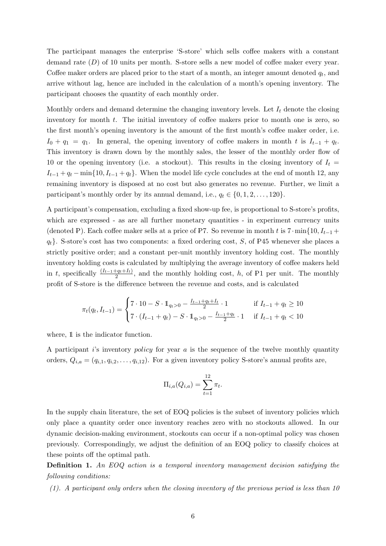The participant manages the enterprise 'S-store' which sells coffee makers with a constant demand rate (D) of 10 units per month. S-store sells a new model of coffee maker every year. Coffee maker orders are placed prior to the start of a month, an integer amount denoted  $q_t$ , and arrive without lag, hence are included in the calculation of a month's opening inventory. The participant chooses the quantity of each monthly order.

Monthly orders and demand determine the changing inventory levels. Let  $I_t$  denote the closing inventory for month t. The initial inventory of coffee makers prior to month one is zero, so the first month's opening inventory is the amount of the first month's coffee maker order, i.e.  $I_0 + q_1 = q_1$ . In general, the opening inventory of coffee makers in month t is  $I_{t-1} + q_t$ . This inventory is drawn down by the monthly sales, the lesser of the monthly order flow of 10 or the opening inventory (i.e. a stockout). This results in the closing inventory of  $I_t =$  $I_{t-1} + q_t - \min\{10, I_{t-1} + q_t\}.$  When the model life cycle concludes at the end of month 12, any remaining inventory is disposed at no cost but also generates no revenue. Further, we limit a participant's monthly order by its annual demand, i.e.,  $q_t \in \{0, 1, 2, \ldots, 120\}$ .

A participant's compensation, excluding a fixed show-up fee, is proportional to S-store's profits, which are expressed - as are all further monetary quantities - in experiment currency units (denoted P). Each coffee maker sells at a price of P7. So revenue in month t is  $7 \cdot \min\{10, I_{t-1} +$  $q_t$ . S-store's cost has two components: a fixed ordering cost, S, of P45 whenever she places a strictly positive order; and a constant per-unit monthly inventory holding cost. The monthly inventory holding costs is calculated by multiplying the average inventory of coffee makers held in t, specifically  $\frac{(I_{t-1}+q_t+I_t)}{2}$ , and the monthly holding cost, h, of P1 per unit. The monthly profit of S-store is the difference between the revenue and costs, and is calculated

$$
\pi_t(q_t, I_{t-1}) = \begin{cases}\n7 \cdot 10 - S \cdot 1_{q_t > 0} - \frac{I_{t-1} + q_t + I_t}{2} \cdot 1 & \text{if } I_{t-1} + q_t \ge 10 \\
7 \cdot (I_{t-1} + q_t) - S \cdot 1_{q_t > 0} - \frac{I_{t-1} + q_t}{2} \cdot 1 & \text{if } I_{t-1} + q_t < 10\n\end{cases}
$$

where,  $\mathbbm{1}$  is the indicator function.

A participant is inventory policy for year  $a$  is the sequence of the twelve monthly quantity orders,  $Q_{i,a} = (q_{i,1}, q_{i,2}, \ldots, q_{i,12})$ . For a given inventory policy S-store's annual profits are,

$$
\Pi_{i,a}(Q_{i,a}) = \sum_{t=1}^{12} \pi_t.
$$

In the supply chain literature, the set of EOQ policies is the subset of inventory policies which only place a quantity order once inventory reaches zero with no stockouts allowed. In our dynamic decision-making environment, stockouts can occur if a non-optimal policy was chosen previously. Correspondingly, we adjust the definition of an EOQ policy to classify choices at these points off the optimal path.

Definition 1. An EOQ action is a temporal inventory management decision satisfying the following conditions:

(1). A participant only orders when the closing inventory of the previous period is less than 10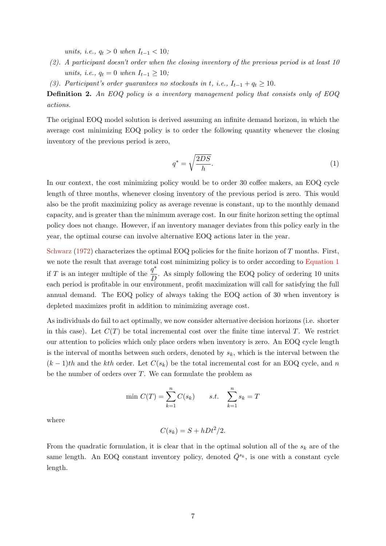units, i.e.,  $q_t > 0$  when  $I_{t-1} < 10$ ;

- (2). A participant doesn't order when the closing inventory of the previous period is at least 10 units, i.e.,  $q_t = 0$  when  $I_{t-1} \ge 10$ ;
- (3). Participant's order guarantees no stockouts in t, i.e.,  $I_{t-1} + q_t \ge 10$ .

Definition 2. An EOQ policy is a inventory management policy that consists only of EOQ actions.

The original EOQ model solution is derived assuming an infinite demand horizon, in which the average cost minimizing EOQ policy is to order the following quantity whenever the closing inventory of the previous period is zero,

$$
q^* = \sqrt{\frac{2DS}{h}}.\tag{1}
$$

In our context, the cost minimizing policy would be to order 30 coffee makers, an EOQ cycle length of three months, whenever closing inventory of the previous period is zero. This would also be the profit maximizing policy as average revenue is constant, up to the monthly demand capacity, and is greater than the minimum average cost. In our finite horizon setting the optimal policy does not change. However, if an inventory manager deviates from this policy early in the year, the optimal course can involve alternative EOQ actions later in the year.

Schwarz (1972) characterizes the optimal EOQ policies for the finite horizon of  $T$  months. First, we note the result that average total cost minimizing policy is to order according to Equation 1 if T is an integer multiple of the  $\frac{q^*}{R}$  $\overline{D}$ . As simply following the EOQ policy of ordering 10 units each period is profitable in our environment, profit maximization will call for satisfying the full annual demand. The EOQ policy of always taking the EOQ action of 30 when inventory is depleted maximizes profit in addition to minimizing average cost.

As individuals do fail to act optimally, we now consider alternative decision horizons (i.e. shorter in this case). Let  $C(T)$  be total incremental cost over the finite time interval T. We restrict our attention to policies which only place orders when inventory is zero. An EOQ cycle length is the interval of months between such orders, denoted by  $s_k$ , which is the interval between the  $(k-1)$ th and the kth order. Let  $C(s_k)$  be the total incremental cost for an EOQ cycle, and n be the number of orders over  $T$ . We can formulate the problem as

$$
\min C(T) = \sum_{k=1}^{n} C(s_k) \qquad s.t. \quad \sum_{k=1}^{n} s_k = T
$$

where

$$
C(s_k) = S + hDt^2/2.
$$

From the quadratic formulation, it is clear that in the optimal solution all of the  $s_k$  are of the same length. An EOQ constant inventory policy, denoted  $\overline{Q}^{s_k}$ , is one with a constant cycle length.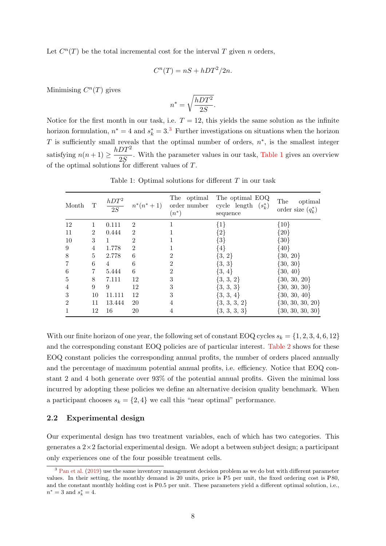Let  $C^n(T)$  be the total incremental cost for the interval T given n orders,

$$
C^n(T) = nS + hDT^2/2n.
$$

Minimising  $C^n(T)$  gives

$$
n^* = \sqrt{\frac{hDT^2}{2S}}.
$$

Notice for the first month in our task, i.e.  $T = 12$ , this yields the same solution as the infinite horizon formulation,  $n^* = 4$  and  $s_k^* = 3$ .<sup>3</sup> Further investigations on situations when the horizon T is sufficiently small reveals that the optimal number of orders,  $n^*$ , is the smallest integer satisfying  $n(n+1) \geq \frac{hDT^2}{2C}$  $\frac{25}{25}$ . With the parameter values in our task, Table 1 gives an overview of the optimal solutions for different values of T.

| Month          | T              | $\frac{hDT^2}{2S}$ | $n^*(n^*+1)$   | The optimal<br>order number<br>$(n^*)$ | The optimal EOQ<br>cycle length<br>$(s_k^*)$<br>sequence | The<br>optimal<br>order size $(q_k^*)$ |
|----------------|----------------|--------------------|----------------|----------------------------------------|----------------------------------------------------------|----------------------------------------|
| 12             | 1              | 0.111              | $\overline{2}$ |                                        | $\{1\}$                                                  | $\{10\}$                               |
| 11             | $\overline{2}$ | 0.444              | $\mathfrak{D}$ |                                        | $\{2\}$                                                  | $\{20\}$                               |
| 10             | 3              |                    | $\overline{2}$ |                                        | $\{3\}$                                                  | $\{30\}$                               |
| 9              | 4              | 1.778              | $\overline{2}$ |                                        | $\{4\}$                                                  | $\{40\}$                               |
| 8              | $\overline{5}$ | 2.778              | 6              | 2                                      | $\{3, 2\}$                                               | $\{30, 20\}$                           |
| 7              | 6              | 4                  | 6              | 2                                      | $\{3, 3\}$                                               | $\{30, 30\}$                           |
| 6              | 7              | 5.444              | 6              | 2                                      | $\{3, 4\}$                                               | $\{30, 40\}$                           |
| $\overline{5}$ | 8              | 7.111              | 12             | 3                                      | $\{3, 3, 2\}$                                            | $\{30, 30, 20\}$                       |
| 4              | 9              | 9                  | 12             | 3                                      | $\{3, 3, 3\}$                                            | $\{30, 30, 30\}$                       |
| 3              | 10             | 11.111             | 12             | 3                                      | $\{3, 3, 4\}$                                            | $\{30, 30, 40\}$                       |
| $\overline{2}$ | 11             | 13.444             | 20             | 4                                      | $\{3, 3, 3, 2\}$                                         | $\{30, 30, 30, 20\}$                   |
|                | 12             | 16                 | 20             | 4                                      | $\{3, 3, 3, 3\}$                                         | $\{30, 30, 30, 30\}$                   |

Table 1: Optimal solutions for different  $T$  in our task

With our finite horizon of one year, the following set of constant EOQ cycles  $s_k = \{1, 2, 3, 4, 6, 12\}$ and the corresponding constant EOQ policies are of particular interest. Table 2 shows for these EOQ constant policies the corresponding annual profits, the number of orders placed annually and the percentage of maximum potential annual profits, i.e. efficiency. Notice that EOQ constant 2 and 4 both generate over 93% of the potential annual profits. Given the minimal loss incurred by adopting these policies we define an alternative decision quality benchmark. When a participant chooses  $s_k = \{2, 4\}$  we call this "near optimal" performance.

#### 2.2 Experimental design

Our experimental design has two treatment variables, each of which has two categories. This generates a  $2\times 2$  factorial experimental design. We adopt a between subject design; a participant only experiences one of the four possible treatment cells.

<sup>&</sup>lt;sup>3</sup> Pan et al. (2019) use the same inventory management decision problem as we do but with different parameter values. In their setting, the monthly demand is  $20$  units, price is  $P5$  per unit, the fixed ordering cost is  $P80$ , and the constant monthly holding cost is  $P0.5$  per unit. These parameters yield a different optimal solution, i.e.,  $n^* = 3$  and  $s_k^* = 4$ .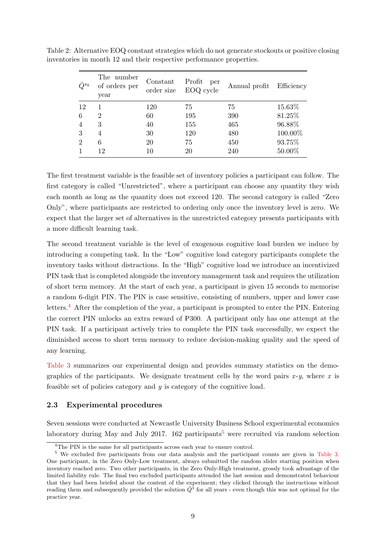| $O^{s_k}$      | The number<br>of orders per<br>year | Constant<br>order size | Profit<br>per<br>EOQ cycle | Annual profit | Efficiency |
|----------------|-------------------------------------|------------------------|----------------------------|---------------|------------|
| 12             |                                     | 120                    | 75                         | 75            | 15.63%     |
| 6              | 2                                   | 60                     | 195                        | 390           | 81.25%     |
| 4              | 3                                   | 40                     | 155                        | 465           | 96.88%     |
| 3              | $\overline{4}$                      | 30                     | 120                        | 480           | 100.00%    |
| $\overline{2}$ | 6                                   | 20                     | 75                         | 450           | 93.75%     |
|                | 12                                  | 10                     | 20                         | 240           | 50.00%     |

Table 2: Alternative EOQ constant strategies which do not generate stockouts or positive closing inventories in month 12 and their respective performance properties.

The first treatment variable is the feasible set of inventory policies a participant can follow. The first category is called "Unrestricted", where a participant can choose any quantity they wish each month as long as the quantity does not exceed 120. The second category is called "Zero Only", where participants are restricted to ordering only once the inventory level is zero. We expect that the larger set of alternatives in the unrestricted category presents participants with a more difficult learning task.

The second treatment variable is the level of exogenous cognitive load burden we induce by introducing a competing task. In the "Low" cognitive load category participants complete the inventory tasks without distractions. In the "High" cognitive load we introduce an incentivized PIN task that is completed alongside the inventory management task and requires the utilization of short term memory. At the start of each year, a participant is given 15 seconds to memorise a random 6-digit PIN. The PIN is case sensitive, consisting of numbers, upper and lower case letters.<sup>4</sup> After the completion of the year, a participant is prompted to enter the PIN. Entering the correct PIN unlocks an extra reward of ➅300. A participant only has one attempt at the PIN task. If a participant actively tries to complete the PIN task successfully, we expect the diminished access to short term memory to reduce decision-making quality and the speed of any learning.

Table 3 summarizes our experimental design and provides summary statistics on the demographics of the participants. We designate treatment cells by the word pairs  $x - y$ , where x is feasible set of policies category and  $y$  is category of the cognitive load.

#### 2.3 Experimental procedures

Seven sessions were conducted at Newcastle University Business School experimental economics laboratory during May and July 2017. 162 participants<sup>5</sup> were recruited via random selection

<sup>&</sup>lt;sup>4</sup>The PIN is the same for all participants across each year to ensure control.

<sup>5</sup> We excluded five participants from our data analysis and the participant counts are given in Table 3. One participant, in the Zero Only-Low treatment, always submitted the random slider starting position when inventory reached zero. Two other participants, in the Zero Only-High treatment, grossly took advantage of the limited liability rule. The final two excluded participants attended the last session and demonstrated behaviour that they had been briefed about the content of the experiment; they clicked through the instructions without reading them and subsequently provided the solution  $\overline{Q}^3$  for all years - even though this was not optimal for the practice year.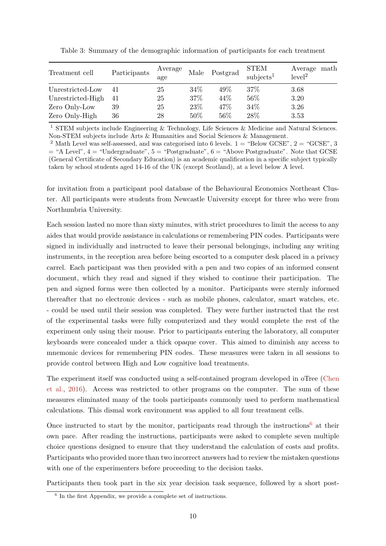| Treatment cell    | Participants | Average<br>age | Male | Postgrad | <b>STEM</b><br>subjects <sup>1</sup> | Average math<br>level <sup>2</sup> |
|-------------------|--------------|----------------|------|----------|--------------------------------------|------------------------------------|
| Unrestricted-Low  | 41           | 25             | 34\% | 49%      | 37\%                                 | 3.68                               |
| Unrestricted-High | 41           | 25             | 37%  | 44\%     | 56%                                  | 3.20                               |
| Zero Only-Low     | 39           | 25             | 23%  | 47%      | 34%                                  | 3.26                               |
| Zero Only-High    | 36           | 28             | 50%  | 56%      | 28%                                  | 3.53                               |

Table 3: Summary of the demographic information of participants for each treatment

<sup>1</sup> STEM subjects include Engineering & Technology, Life Sciences & Medicine and Natural Sciences. Non-STEM subjects include Arts & Humanities and Social Sciences & Management.

<sup>2</sup> Math Level was self-assessed, and was categorised into 6 levels.  $1 =$  "Below GCSE",  $2 =$  "GCSE", 3  $=$  "A Level",  $4 =$  "Undergraduate",  $5 =$  "Postgraduate",  $6 =$  "Above Postgraduate". Note that GCSE (General Certificate of Secondary Education) is an academic qualification in a specific subject typically taken by school students aged 14-16 of the UK (except Scotland), at a level below A level.

for invitation from a participant pool database of the Behavioural Economics Northeast Cluster. All participants were students from Newcastle University except for three who were from Northumbria University.

Each session lasted no more than sixty minutes, with strict procedures to limit the access to any aides that would provide assistance in calculations or remembering PIN codes. Participants were signed in individually and instructed to leave their personal belongings, including any writing instruments, in the reception area before being escorted to a computer desk placed in a privacy carrel. Each participant was then provided with a pen and two copies of an informed consent document, which they read and signed if they wished to continue their participation. The pen and signed forms were then collected by a monitor. Participants were sternly informed thereafter that no electronic devices - such as mobile phones, calculator, smart watches, etc. - could be used until their session was completed. They were further instructed that the rest of the experimental tasks were fully computerized and they would complete the rest of the experiment only using their mouse. Prior to participants entering the laboratory, all computer keyboards were concealed under a thick opaque cover. This aimed to diminish any access to mnemonic devices for remembering PIN codes. These measures were taken in all sessions to provide control between High and Low cognitive load treatments.

The experiment itself was conducted using a self-contained program developed in oTree (Chen et al., 2016). Access was restricted to other programs on the computer. The sum of these measures eliminated many of the tools participants commonly used to perform mathematical calculations. This dismal work environment was applied to all four treatment cells.

Once instructed to start by the monitor, participants read through the instructions<sup>6</sup> at their own pace. After reading the instructions, participants were asked to complete seven multiple choice questions designed to ensure that they understand the calculation of costs and profits. Participants who provided more than two incorrect answers had to review the mistaken questions with one of the experimenters before proceeding to the decision tasks.

Participants then took part in the six year decision task sequence, followed by a short post-

<sup>6</sup> In the first Appendix, we provide a complete set of instructions.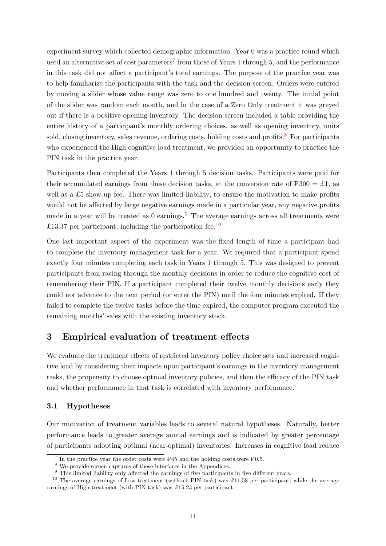experiment survey which collected demographic information. Year 0 was a practice round which used an alternative set of cost parameters<sup>7</sup> from those of Years 1 through 5, and the performance in this task did not affect a participant's total earnings. The purpose of the practice year was to help familiarize the participants with the task and the decision screen. Orders were entered by moving a slider whose value range was zero to one hundred and twenty. The initial point of the slider was random each month, and in the case of a Zero Only treatment it was greyed out if there is a positive opening inventory. The decision screen included a table providing the entire history of a participant's monthly ordering choices, as well as opening inventory, units sold, closing inventory, sales revenue, ordering costs, holding costs and profits.<sup>8</sup> For participants who experienced the High cognitive load treatment, we provided an opportunity to practice the PIN task in the practice year.

Participants then completed the Years 1 through 5 decision tasks. Participants were paid for their accumulated earnings from these decision tasks, at the conversion rate of  $P300 = \pounds1$ , as well as a  $£5$  show-up fee. There was limited liability; to ensure the motivation to make profits would not be affected by large negative earnings made in a particular year, any negative profits made in a year will be treated as  $0$  earnings.<sup>9</sup> The average earnings across all treatments were £13.37 per participant, including the participation fee.<sup>10</sup>

One last important aspect of the experiment was the fixed length of time a participant had to complete the inventory management task for a year. We required that a participant spend exactly four minutes completing each task in Years 1 through 5. This was designed to prevent participants from racing through the monthly decisions in order to reduce the cognitive cost of remembering their PIN. If a participant completed their twelve monthly decisions early they could not advance to the next period (or enter the PIN) until the four minutes expired. If they failed to complete the twelve tasks before the time expired, the computer program executed the remaining months' sales with the existing inventory stock.

# 3 Empirical evaluation of treatment effects

We evaluate the treatment effects of restricted inventory policy choice sets and increased cognitive load by considering their impacts upon participant's earnings in the inventory management tasks, the propensity to choose optimal inventory policies, and then the efficacy of the PIN task and whether performance in that task is correlated with inventory performance.

#### 3.1 Hypotheses

Our motivation of treatment variables leads to several natural hypotheses. Naturally, better performance leads to greater average annual earnings and is indicated by greater percentage of participants adopting optimal (near-optimal) inventories. Increases in cognitive load reduce

 $^7$  In the practice year the order costs were P45 and the holding costs were P0.5.

<sup>&</sup>lt;sup>8</sup> We provide screen captures of these interfaces in the Appendices.

<sup>&</sup>lt;sup>9</sup> This limited liability only affected the earnings of five participants in five different years.

<sup>&</sup>lt;sup>10</sup> The average earnings of Low treatment (without PIN task) was £11.58 per participant, while the average earnings of High treatment (with PIN task) was  $\pounds$ 15.23 per participant.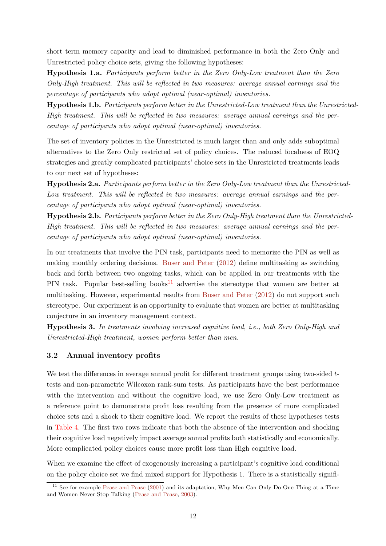short term memory capacity and lead to diminished performance in both the Zero Only and Unrestricted policy choice sets, giving the following hypotheses:

Hypothesis 1.a. Participants perform better in the Zero Only-Low treatment than the Zero Only-High treatment. This will be reflected in two measures: average annual earnings and the percentage of participants who adopt optimal (near-optimal) inventories.

Hypothesis 1.b. Participants perform better in the Unrestricted-Low treatment than the Unrestricted-High treatment. This will be reflected in two measures: average annual earnings and the percentage of participants who adopt optimal (near-optimal) inventories.

The set of inventory policies in the Unrestricted is much larger than and only adds suboptimal alternatives to the Zero Only restricted set of policy choices. The reduced focalness of EOQ strategies and greatly complicated participants' choice sets in the Unrestricted treatments leads to our next set of hypotheses:

Hypothesis 2.a. Participants perform better in the Zero Only-Low treatment than the Unrestricted-Low treatment. This will be reflected in two measures: average annual earnings and the percentage of participants who adopt optimal (near-optimal) inventories.

Hypothesis 2.b. Participants perform better in the Zero Only-High treatment than the Unrestricted-High treatment. This will be reflected in two measures: average annual earnings and the percentage of participants who adopt optimal (near-optimal) inventories.

In our treatments that involve the PIN task, participants need to memorize the PIN as well as making monthly ordering decisions. Buser and Peter (2012) define multitasking as switching back and forth between two ongoing tasks, which can be applied in our treatments with the PIN task. Popular best-selling books<sup>11</sup> advertise the stereotype that women are better at multitasking. However, experimental results from Buser and Peter (2012) do not support such stereotype. Our experiment is an opportunity to evaluate that women are better at multitasking conjecture in an inventory management context.

Hypothesis 3. In treatments involving increased cognitive load, i.e., both Zero Only-High and Unrestricted-High treatment, women perform better than men.

#### 3.2 Annual inventory profits

We test the differences in average annual profit for different treatment groups using two-sided ttests and non-parametric Wilcoxon rank-sum tests. As participants have the best performance with the intervention and without the cognitive load, we use Zero Only-Low treatment as a reference point to demonstrate profit loss resulting from the presence of more complicated choice sets and a shock to their cognitive load. We report the results of these hypotheses tests in Table 4. The first two rows indicate that both the absence of the intervention and shocking their cognitive load negatively impact average annual profits both statistically and economically. More complicated policy choices cause more profit loss than High cognitive load.

When we examine the effect of exogenously increasing a participant's cognitive load conditional on the policy choice set we find mixed support for Hypothesis 1. There is a statistically signifi-

 $11$  See for example Pease and Pease (2001) and its adaptation, Why Men Can Only Do One Thing at a Time and Women Never Stop Talking (Pease and Pease, 2003).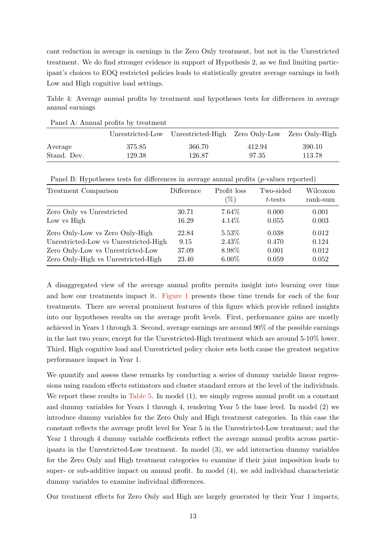cant reduction in average in earnings in the Zero Only treatment, but not in the Unrestricted treatment. We do find stronger evidence in support of Hypothesis 2, as we find limiting participant's choices to EOQ restricted policies leads to statistically greater average earnings in both Low and High cognitive load settings.

Table 4: Average annual profits by treatment and hypotheses tests for differences in average annual earnings

|             |        | Unrestricted-Low Unrestricted-High Zero Only-Low Zero Only-High |        |        |
|-------------|--------|-----------------------------------------------------------------|--------|--------|
| Average     | 375.85 | 366.70                                                          | 412.94 | 390.10 |
| Stand. Dev. | 129.38 | 126.87                                                          | 97.35  | 113.78 |

Panel A: Annual profits by treatment

| $\cdot$ 1                                                                |                        |                       | $\mathbf{u}$         |                      |
|--------------------------------------------------------------------------|------------------------|-----------------------|----------------------|----------------------|
| Treatment Comparison                                                     | <b>Difference</b>      | Profit loss<br>$(\%)$ | Two-sided<br>t-tests | Wilcoxon<br>rank-sum |
| Zero Only vs Unrestricted<br>Low vs High                                 | 30.71<br>16.29         | 7.64\%<br>4.14%       | 0.000<br>0.055       | 0.001<br>0.003       |
| Zero Only-Low vs Zero Only-High<br>Unrestricted-Low vs Unrestricted-High | 22.84                  | 5.53%<br>2.43\%       | 0.038<br>0.470       | 0.012<br>0.124       |
| Zero Only-Low vs Unrestricted-Low<br>Zero Only-High vs Unrestricted-High | 9.15<br>37.09<br>23.40 | 8.98%<br>$6.00\%$     | 0.001<br>0.059       | 0.012<br>0.052       |
|                                                                          |                        |                       |                      |                      |

Panel B: Hypotheses tests for differences in average annual profits (p-values reported)

A disaggregated view of the average annual profits permits insight into learning over time and how our treatments impact it. Figure 1 presents these time trends for each of the four treatments. There are several prominent features of this figure which provide refined insights into our hypotheses results on the average profit levels. First, performance gains are mostly achieved in Years 1 through 3. Second, average earnings are around 90% of the possible earnings in the last two years; except for the Unrestricted-High treatment which are around 5-10% lower. Third, High cognitive load and Unrestricted policy choice sets both cause the greatest negative performance impact in Year 1.

We quantify and assess these remarks by conducting a series of dummy variable linear regressions using random effects estimators and cluster standard errors at the level of the individuals. We report these results in Table 5. In model  $(1)$ , we simply regress annual profit on a constant and dummy variables for Years 1 through 4, rendering Year 5 the base level. In model (2) we introduce dummy variables for the Zero Only and High treatment categories. In this case the constant reflects the average profit level for Year 5 in the Unrestricted-Low treatment; and the Year 1 through 4 dummy variable coefficients reflect the average annual profits across participants in the Unrestricted-Low treatment. In model (3), we add interaction dummy variables for the Zero Only and High treatment categories to examine if their joint imposition leads to super- or sub-additive impact on annual profit. In model (4), we add individual characteristic dummy variables to examine individual differences.

Our treatment effects for Zero Only and High are largely generated by their Year 1 impacts,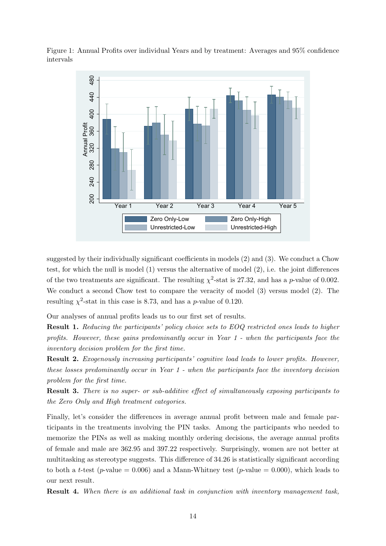Figure 1: Annual Profits over individual Years and by treatment: Averages and 95% confidence intervals



suggested by their individually significant coefficients in models (2) and (3). We conduct a Chow test, for which the null is model (1) versus the alternative of model (2), i.e. the joint differences of the two treatments are significant. The resulting  $\chi^2$ -stat is 27.32, and has a p-value of 0.002. We conduct a second Chow test to compare the veracity of model (3) versus model (2). The resulting  $\chi^2$ -stat in this case is 8.73, and has a *p*-value of 0.120.

Our analyses of annual profits leads us to our first set of results.

Result 1. Reducing the participants' policy choice sets to EOQ restricted ones leads to higher profits. However, these gains predominantly occur in Year 1 - when the participants face the inventory decision problem for the first time.

Result 2. Exogenously increasing participants' cognitive load leads to lower profits. However, these losses predominantly occur in Year 1 - when the participants face the inventory decision problem for the first time.

Result 3. There is no super- or sub-additive effect of simultaneously exposing participants to the Zero Only and High treatment categories.

Finally, let's consider the differences in average annual profit between male and female participants in the treatments involving the PIN tasks. Among the participants who needed to memorize the PINs as well as making monthly ordering decisions, the average annual profits of female and male are 362.95 and 397.22 respectively. Surprisingly, women are not better at multitasking as stereotype suggests. This difference of 34.26 is statistically significant according to both a t-test (p-value = 0.006) and a Mann-Whitney test (p-value = 0.000), which leads to our next result.

Result 4. When there is an additional task in conjunction with inventory management task.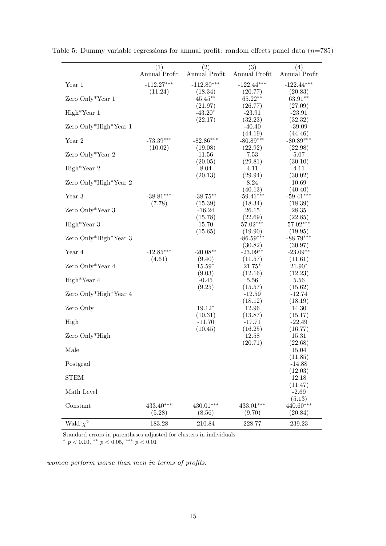|                       | (1)           | (2)                  | (3)                    | (4)                 |
|-----------------------|---------------|----------------------|------------------------|---------------------|
|                       | Annual Profit | Annual Profit        | Annual Profit          | Annual Profit       |
| Year 1                | $-112.27***$  | $-112.80***$         | $-122.44***$           | $-122.44***$        |
|                       | (11.24)       | (18.34)              | (20.77)                | (20.83)             |
| Zero Only*Year 1      |               | $45.45***$           | $65.22**$              | $63.91**$           |
|                       |               | (21.97)              | (26.77)                | (27.09)             |
| $High*Year 1$         |               | $-43.20*$<br>(22.17) | $-23.91$<br>(32.23)    | $-23.91$<br>(32.32) |
| Zero Only*High*Year 1 |               |                      | $-40.40$               | $-39.09$            |
|                       |               |                      | (44.19)                | (44.46)             |
| Year 2                | $-73.39***$   | $-82.86***$          | $-80.89***$            | $-80.89***$         |
|                       | (10.02)       | (19.08)              | (22.92)                | (22.98)             |
| Zero Only*Year 2      |               | 11.56                | 7.53                   | 5.07                |
|                       |               | (20.05)              | (29.81)                | (30.10)             |
| $High*Year 2$         |               | 8.04                 | 4.11                   | 4.11                |
|                       |               | (20.13)              | (29.94)                | (30.02)             |
| Zero Only*High*Year 2 |               |                      | 8.24                   | 10.69               |
|                       |               |                      | (40.13)                | (40.40)             |
| Year 3                | $-38.81***$   | $-38.75**$           | $-59.41***$<br>(18.34) | $-59.41***$         |
| Zero Only*Year 3      | (7.78)        | (15.39)<br>$-16.24$  | 26.15                  | (18.39)<br>28.35    |
|                       |               | (15.78)              | (22.69)                | (22.85)             |
| High*Year 3           |               | 15.70                | $57.02***$             | 57.02***            |
|                       |               | (15.65)              | (19.90)                | (19.95)             |
| Zero Only*High*Year 3 |               |                      | $-86.59***$            | $-88.79***$         |
|                       |               |                      | (30.82)                | (30.97)             |
| Year 4                | $-12.85***$   | $-20.08**$           | $-23.09**$             | $-23.09**$          |
|                       | (4.61)        | (9.40)               | (11.57)                | (11.61)             |
| Zero Only*Year 4      |               | $15.59*$             | $21.75*$               | $21.90*$            |
|                       |               | (9.03)               | (12.16)                | (12.23)             |
| $High*Year 4$         |               | $-0.45$              | 5.56                   | 5.56                |
| Zero Only*High*Year 4 |               | (9.25)               | (15.57)<br>$-12.59$    | (15.62)<br>$-12.74$ |
|                       |               |                      | (18.12)                | (18.19)             |
| Zero Only             |               | $19.12*$             | 12.96                  | 14.30               |
|                       |               | (10.31)              | (13.87)                | (15.17)             |
| High                  |               | $-11.70$             | $-17.71$               | $-22.49$            |
|                       |               | (10.45)              | (16.25)                | (16.77)             |
| Zero Only*High        |               |                      | 12.58                  | 15.31               |
|                       |               |                      | (20.71)                | (22.68)             |
| Male                  |               |                      |                        | 15.04               |
|                       |               |                      |                        | (11.85)             |
| Postgrad              |               |                      |                        | $-14.88$<br>(12.03) |
| <b>STEM</b>           |               |                      |                        | 12.18               |
|                       |               |                      |                        | (11.47)             |
| Math Level            |               |                      |                        | $-2.69$             |
|                       |               |                      |                        | (5.13)              |
| Constant              | $433.40***$   | 430.01***            | $433.01***$            | 440.60***           |
|                       | (5.28)        | (8.56)               | (9.70)                 | (20.84)             |
| Wald $\chi^2$         | 183.28        | 210.84               | 228.77                 | 239.23              |

Table 5: Dummy variable regressions for annual profit: random effects panel data  $(n=785)$ 

Standard errors in parentheses adjusted for clusters in individuals \*  $p < 0.10$ , \* \*  $p < 0.05$ , \*\*\*  $p < 0.01$ 

women perform worse than men in terms of profits.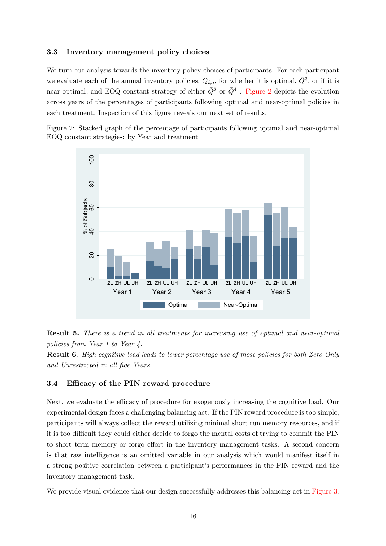#### 3.3 Inventory management policy choices

We turn our analysis towards the inventory policy choices of participants. For each participant we evaluate each of the annual inventory policies,  $Q_{i,a}$ , for whether it is optimal,  $\bar{Q}^3$ , or if it is near-optimal, and EOQ constant strategy of either  $\bar{Q}^2$  or  $\bar{Q}^4$  . Figure 2 depicts the evolution across years of the percentages of participants following optimal and near-optimal policies in each treatment. Inspection of this figure reveals our next set of results.

Figure 2: Stacked graph of the percentage of participants following optimal and near-optimal EOQ constant strategies: by Year and treatment



Result 5. There is a trend in all treatments for increasing use of optimal and near-optimal policies from Year 1 to Year 4.

Result 6. High cognitive load leads to lower percentage use of these policies for both Zero Only and Unrestricted in all five Years.

#### 3.4 Efficacy of the PIN reward procedure

Next, we evaluate the efficacy of procedure for exogenously increasing the cognitive load. Our experimental design faces a challenging balancing act. If the PIN reward procedure is too simple, participants will always collect the reward utilizing minimal short run memory resources, and if it is too difficult they could either decide to forgo the mental costs of trying to commit the PIN to short term memory or forgo effort in the inventory management tasks. A second concern is that raw intelligence is an omitted variable in our analysis which would manifest itself in a strong positive correlation between a participant's performances in the PIN reward and the inventory management task.

We provide visual evidence that our design successfully addresses this balancing act in Figure 3.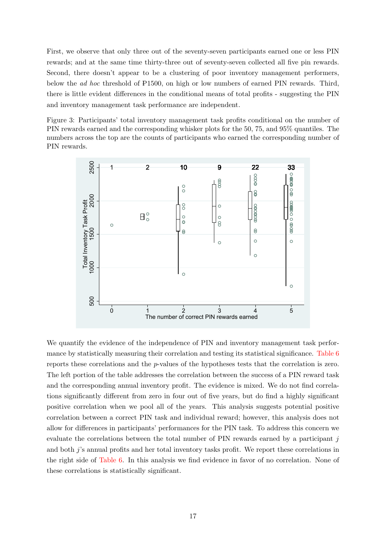First, we observe that only three out of the seventy-seven participants earned one or less PIN rewards; and at the same time thirty-three out of seventy-seven collected all five pin rewards. Second, there doesn't appear to be a clustering of poor inventory management performers, below the ad hoc threshold of P1500, on high or low numbers of earned PIN rewards. Third, there is little evident differences in the conditional means of total profits - suggesting the PIN and inventory management task performance are independent.

Figure 3: Participants' total inventory management task profits conditional on the number of PIN rewards earned and the corresponding whisker plots for the 50, 75, and 95% quantiles. The numbers across the top are the counts of participants who earned the corresponding number of PIN rewards.



We quantify the evidence of the independence of PIN and inventory management task performance by statistically measuring their correlation and testing its statistical significance. Table 6 reports these correlations and the p-values of the hypotheses tests that the correlation is zero. The left portion of the table addresses the correlation between the success of a PIN reward task and the corresponding annual inventory profit. The evidence is mixed. We do not find correlations significantly different from zero in four out of five years, but do find a highly significant positive correlation when we pool all of the years. This analysis suggests potential positive correlation between a correct PIN task and individual reward; however, this analysis does not allow for differences in participants' performances for the PIN task. To address this concern we evaluate the correlations between the total number of PIN rewards earned by a participant  $j$ and both j's annual profits and her total inventory tasks profit. We report these correlations in the right side of Table 6. In this analysis we find evidence in favor of no correlation. None of these correlations is statistically significant.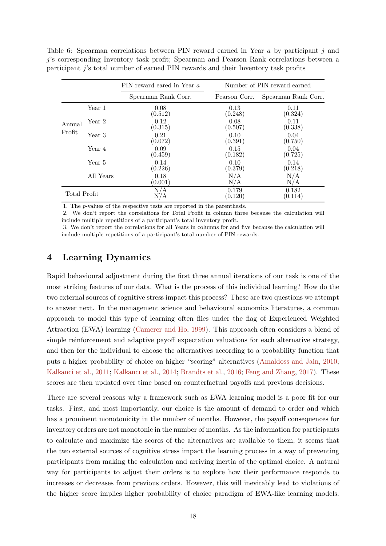Table 6: Spearman correlations between PIN reward earned in Year a by participant j and j's corresponding Inventory task profit; Spearman and Pearson Rank correlations between a participant j's total number of earned PIN rewards and their Inventory task profits

|              |           | PIN reward eared in Year a | Number of PIN reward earned |                     |  |
|--------------|-----------|----------------------------|-----------------------------|---------------------|--|
|              |           | Spearman Rank Corr.        | Pearson Corr.               | Spearman Rank Corr. |  |
|              | Year 1    | 0.08<br>(0.512)            | 0.13<br>(0.248)             | 0.11<br>(0.324)     |  |
| Annual       | Year 2    | 0.12<br>(0.315)            | 0.08<br>(0.507)             | 0.11<br>(0.338)     |  |
| Profit       | Year 3    | 0.21<br>(0.072)            | 0.10<br>(0.391)             | 0.04<br>(0.750)     |  |
|              | Year 4    | 0.09<br>(0.459)            | 0.15<br>(0.182)             | 0.04<br>(0.725)     |  |
|              | Year 5    | 0.14<br>(0.226)            | 0.10<br>(0.379)             | 0.14<br>(0.218)     |  |
|              | All Years | 0.18<br>(0.001)            | N/A<br>N/A                  | $\rm N/A$<br>N/A    |  |
| Total Profit |           | N/A                        | 0.179<br>(0.120)            | 0.182<br>(0.114)    |  |

1. The p-values of the respective tests are reported in the parenthesis.

2. We don't report the correlations for Total Profit in column three because the calculation will include multiple repetitions of a participant's total inventory profit.

3. We don't report the correlations for all Years in columns for and five because the calculation will include multiple repetitions of a participant's total number of PIN rewards.

# 4 Learning Dynamics

Rapid behavioural adjustment during the first three annual iterations of our task is one of the most striking features of our data. What is the process of this individual learning? How do the two external sources of cognitive stress impact this process? These are two questions we attempt to answer next. In the management science and behavioural economics literatures, a common approach to model this type of learning often flies under the flag of Experienced Weighted Attraction (EWA) learning (Camerer and Ho, 1999). This approach often considers a blend of simple reinforcement and adaptive payoff expectation valuations for each alternative strategy, and then for the individual to choose the alternatives according to a probability function that puts a higher probability of choice on higher "scoring" alternatives (Amaldoss and Jain, 2010; Kalkanci et al., 2011; Kalkancı et al., 2014; Brandts et al., 2016; Feng and Zhang, 2017). These scores are then updated over time based on counterfactual payoffs and previous decisions.

There are several reasons why a framework such as EWA learning model is a poor fit for our tasks. First, and most importantly, our choice is the amount of demand to order and which has a prominent monotonicity in the number of months. However, the payoff consequences for inventory orders are not monotonic in the number of months. As the information for participants to calculate and maximize the scores of the alternatives are available to them, it seems that the two external sources of cognitive stress impact the learning process in a way of preventing participants from making the calculation and arriving inertia of the optimal choice. A natural way for participants to adjust their orders is to explore how their performance responds to increases or decreases from previous orders. However, this will inevitably lead to violations of the higher score implies higher probability of choice paradigm of EWA-like learning models.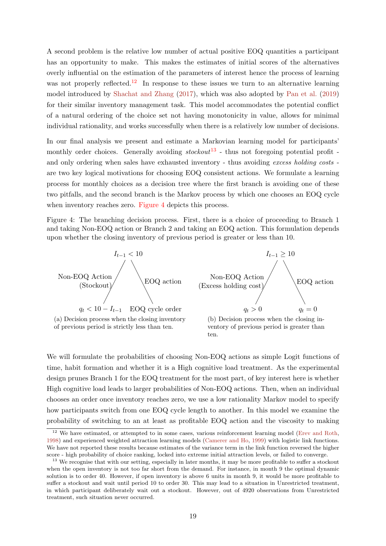A second problem is the relative low number of actual positive EOQ quantities a participant has an opportunity to make. This makes the estimates of initial scores of the alternatives overly influential on the estimation of the parameters of interest hence the process of learning was not properly reflected.<sup>12</sup> In response to these issues we turn to an alternative learning model introduced by Shachat and Zhang (2017), which was also adopted by Pan et al. (2019) for their similar inventory management task. This model accommodates the potential conflict of a natural ordering of the choice set not having monotonicity in value, allows for minimal individual rationality, and works successfully when there is a relatively low number of decisions.

In our final analysis we present and estimate a Markovian learning model for participants' monthly order choices. Generally avoiding  $stockout^{13}$  - thus not foregoing potential profit and only ordering when sales have exhausted inventory - thus avoiding excess holding costs are two key logical motivations for choosing EOQ consistent actions. We formulate a learning process for monthly choices as a decision tree where the first branch is avoiding one of these two pitfalls, and the second branch is the Markov process by which one chooses an EOQ cycle when inventory reaches zero. Figure 4 depicts this process.

Figure 4: The branching decision process. First, there is a choice of proceeding to Branch 1 and taking Non-EOQ action or Branch 2 and taking an EOQ action. This formulation depends upon whether the closing inventory of previous period is greater or less than 10.



We will formulate the probabilities of choosing Non-EOQ actions as simple Logit functions of time, habit formation and whether it is a High cognitive load treatment. As the experimental design prunes Branch 1 for the EOQ treatment for the most part, of key interest here is whether High cognitive load leads to larger probabilities of Non-EOQ actions. Then, when an individual chooses an order once inventory reaches zero, we use a low rationality Markov model to specify how participants switch from one EOQ cycle length to another. In this model we examine the probability of switching to an at least as profitable EOQ action and the viscosity to making

 $12$  We have estimated, or attempted to in some cases, various reinforcement learning model (Erev and Roth, 1998) and experienced weighted attraction learning models (Camerer and Ho, 1999) with logistic link functions. We have not reported these results because estimates of the variance term in the link function reversed the higher score - high probability of choice ranking, locked into extreme initial attraction levels, or failed to converge.

<sup>&</sup>lt;sup>13</sup> We recognise that with our setting, especially in later months, it may be more profitable to suffer a stockout when the open inventory is not too far short from the demand. For instance, in month 9 the optimal dynamic solution is to order 40. However, if open inventory is above 6 units in month 9, it would be more profitable to suffer a stockout and wait until period 10 to order 30. This may lead to a situation in Unrestricted treatment, in which participant deliberately wait out a stockout. However, out of 4920 observations from Unrestricted treatment, such situation never occurred.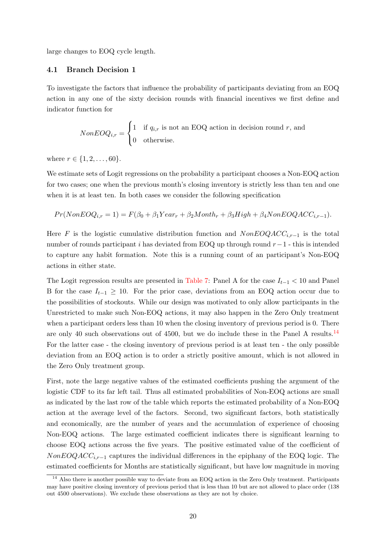large changes to EOQ cycle length.

#### 4.1 Branch Decision 1

To investigate the factors that influence the probability of participants deviating from an EOQ action in any one of the sixty decision rounds with financial incentives we first define and indicator function for

$$
NonEOQ_{i,r} = \begin{cases} 1 & \text{if } q_{i,r} \text{ is not an EOQ action in decision round } r, \text{ and} \\ 0 & \text{otherwise.} \end{cases}
$$

where  $r \in \{1, 2, \ldots, 60\}.$ 

We estimate sets of Logit regressions on the probability a participant chooses a Non-EOQ action for two cases; one when the previous month's closing inventory is strictly less than ten and one when it is at least ten. In both cases we consider the following specification

$$
Pr(NonEOQ_{i,r} = 1) = F(\beta_0 + \beta_1 Year_r + \beta_2Month_r + \beta_3 High + \beta_4 NoneEOQACC_{i,r-1}).
$$

Here F is the logistic cumulative distribution function and  $NonEOQACC_{i,r-1}$  is the total number of rounds participant i has deviated from EOQ up through round  $r-1$  - this is intended to capture any habit formation. Note this is a running count of an participant's Non-EOQ actions in either state.

The Logit regression results are presented in Table 7: Panel A for the case  $I_{t-1}$  < 10 and Panel B for the case  $I_{t-1} \geq 10$ . For the prior case, deviations from an EOQ action occur due to the possibilities of stockouts. While our design was motivated to only allow participants in the Unrestricted to make such Non-EOQ actions, it may also happen in the Zero Only treatment when a participant orders less than 10 when the closing inventory of previous period is 0. There are only 40 such observations out of 4500, but we do include these in the Panel A results.<sup>14</sup> For the latter case - the closing inventory of previous period is at least ten - the only possible deviation from an EOQ action is to order a strictly positive amount, which is not allowed in the Zero Only treatment group.

First, note the large negative values of the estimated coefficients pushing the argument of the logistic CDF to its far left tail. Thus all estimated probabilities of Non-EOQ actions are small as indicated by the last row of the table which reports the estimated probability of a Non-EOQ action at the average level of the factors. Second, two significant factors, both statistically and economically, are the number of years and the accumulation of experience of choosing Non-EOQ actions. The large estimated coefficient indicates there is significant learning to choose EOQ actions across the five years. The positive estimated value of the coefficient of  $NonEOQACC_{i,r-1}$  captures the individual differences in the epiphany of the EOQ logic. The estimated coefficients for Months are statistically significant, but have low magnitude in moving

<sup>&</sup>lt;sup>14</sup> Also there is another possible way to deviate from an EOQ action in the Zero Only treatment. Participants may have positive closing inventory of previous period that is less than 10 but are not allowed to place order (138 out 4500 observations). We exclude these observations as they are not by choice.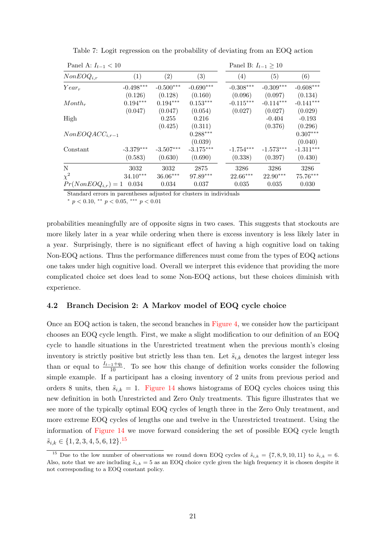| Panel A: $I_{t-1} < 10$ |                        |                        |                        |                        | Panel B: $I_{t-1} \geq 10$ |                        |
|-------------------------|------------------------|------------------------|------------------------|------------------------|----------------------------|------------------------|
| $NonEOQ_{i,r}$          | (1)                    | (2)                    | (3)                    | $\left( 4\right)$      | (5)                        | (6)                    |
| $Year_r$                | $-0.498***$<br>(0.126) | $-0.500***$<br>(0.128) | $-0.690***$<br>(0.160) | $-0.308***$<br>(0.096) | $-0.309***$<br>(0.097)     | $-0.608***$            |
| Month <sub>r</sub>      | $0.194***$             | $0.194***$             | $0.153***$             | $-0.115***$            | $-0.114***$                | (0.134)<br>$-0.141***$ |
| High                    | (0.047)                | (0.047)<br>0.255       | (0.054)<br>0.216       | (0.027)                | (0.027)<br>$-0.404$        | (0.029)<br>$-0.193$    |
|                         |                        | (0.425)                | (0.311)<br>$0.288***$  |                        | (0.376)                    | (0.296)<br>$0.307***$  |
| $NonEOQACC_{i,r-1}$     |                        |                        | (0.039)                |                        |                            | (0.040)                |
| Constant                | $-3.379***$<br>(0.583) | $-3.507***$<br>(0.630) | $-3.175***$<br>(0.690) | $-1.754***$<br>(0.338) | $-1.573***$<br>(0.397)     | $-1.311***$<br>(0.430) |
| N<br>$\chi^2$           | 3032<br>$34.10***$     | 3032<br>$36.06***$     | 2875<br>97.89***       | 3286<br>22.66***       | 3286<br>22.90***           | 3286<br>75.76***       |
| $Pr(NonEOQ_{i,r}) = 1$  | 0.034                  | 0.034                  | 0.037                  | 0.035                  | 0.035                      | 0.030                  |

Table 7: Logit regression on the probability of deviating from an EOQ action

Standard errors in parentheses adjusted for clusters in individuals

\*  $p < 0.10,$  \*\*  $p < 0.05,$  \*\*\*  $p < 0.01$ 

probabilities meaningfully are of opposite signs in two cases. This suggests that stockouts are more likely later in a year while ordering when there is excess inventory is less likely later in a year. Surprisingly, there is no significant effect of having a high cognitive load on taking Non-EOQ actions. Thus the performance differences must come from the types of EOQ actions one takes under high cognitive load. Overall we interpret this evidence that providing the more complicated choice set does lead to some Non-EOQ actions, but these choices diminish with experience.

#### 4.2 Branch Decision 2: A Markov model of EOQ cycle choice

Once an EOQ action is taken, the second branches in Figure 4, we consider how the participant chooses an EOQ cycle length. First, we make a slight modification to our definition of an EOQ cycle to handle situations in the Unrestricted treatment when the previous month's closing inventory is strictly positive but strictly less than ten. Let  $\tilde{s}_{i,k}$  denotes the largest integer less than or equal to  $\frac{I_{t-1}+q_t}{10}$ . To see how this change of definition works consider the following simple example. If a participant has a closing inventory of 2 units from previous period and orders 8 units, then  $\tilde{s}_{i,k} = 1$ . Figure 14 shows histograms of EOQ cycles choices using this new definition in both Unrestricted and Zero Only treatments. This figure illustrates that we see more of the typically optimal EOQ cycles of length three in the Zero Only treatment, and more extreme EOQ cycles of lengths one and twelve in the Unrestricted treatment. Using the information of Figure 14 we move forward considering the set of possible EOQ cycle length  $\tilde{s}_{i,k} \in \{1, 2, 3, 4, 5, 6, 12\}.$ <sup>15</sup>

<sup>&</sup>lt;sup>15</sup> Due to the low number of observations we round down EOQ cycles of  $\tilde{s}_{i,k} = \{7, 8, 9, 10, 11\}$  to  $\tilde{s}_{i,k} = 6$ . Also, note that we are including  $\tilde{s}_{i,k} = 5$  as an EOQ choice cycle given the high frequency it is chosen despite it not corresponding to a EOQ constant policy.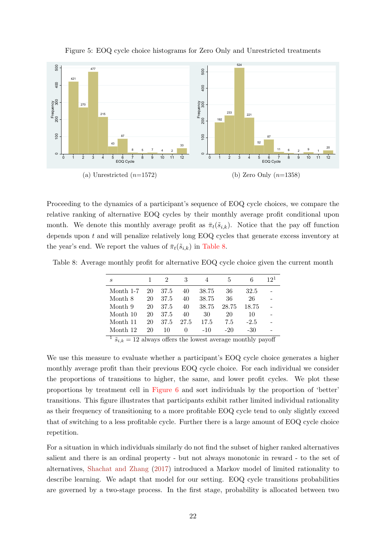

Figure 5: EOQ cycle choice histograms for Zero Only and Unrestricted treatments

Proceeding to the dynamics of a participant's sequence of EOQ cycle choices, we compare the relative ranking of alternative EOQ cycles by their monthly average profit conditional upon month. We denote this monthly average profit as  $\bar{\pi}_t(\tilde{s}_{i,k})$ . Notice that the pay off function depends upon  $t$  and will penalize relatively long EOQ cycles that generate excess inventory at the year's end. We report the values of  $\bar{\pi}_t(\tilde{s}_{i,k})$  in Table 8.

Table 8: Average monthly profit for alternative EOQ cycle choice given the current month

| $\boldsymbol{s}$ |    | $\mathcal{D}$ | 3        |       | 5     | 6      | 19 <sup>1</sup> |
|------------------|----|---------------|----------|-------|-------|--------|-----------------|
| Month 1-7        | 20 | 37.5          | 40       | 38.75 | 36    | 32.5   |                 |
| Month 8          | 20 | 37.5          | 40       | 38.75 | 36    | 26     |                 |
| Month 9          | 20 | 37.5          | 40       | 38.75 | 28.75 | 18.75  |                 |
| Month 10         | 20 | 37.5          | 40       | 30    | 20    | 10     |                 |
| Month 11         | 20 | 37.5          | 27.5     | 17.5  | 7.5   | $-2.5$ |                 |
| Month 12         | 20 | 10            | $\Omega$ | $-10$ | $-20$ | $-30$  |                 |

 $\tilde{s}_{i,k} = 12$  always offers the lowest average monthly payoff

We use this measure to evaluate whether a participant's EOQ cycle choice generates a higher monthly average profit than their previous EOQ cycle choice. For each individual we consider the proportions of transitions to higher, the same, and lower profit cycles. We plot these proportions by treatment cell in Figure 6 and sort individuals by the proportion of 'better' transitions. This figure illustrates that participants exhibit rather limited individual rationality as their frequency of transitioning to a more profitable EOQ cycle tend to only slightly exceed that of switching to a less profitable cycle. Further there is a large amount of EOQ cycle choice repetition.

For a situation in which individuals similarly do not find the subset of higher ranked alternatives salient and there is an ordinal property - but not always monotonic in reward - to the set of alternatives, Shachat and Zhang (2017) introduced a Markov model of limited rationality to describe learning. We adapt that model for our setting. EOQ cycle transitions probabilities are governed by a two-stage process. In the first stage, probability is allocated between two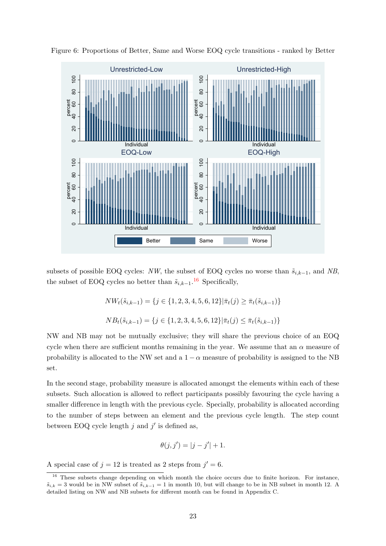

Figure 6: Proportions of Better, Same and Worse EOQ cycle transitions - ranked by Better

subsets of possible EOQ cycles: NW, the subset of EOQ cycles no worse than  $\tilde{s}_{i,k-1}$ , and NB, the subset of EOQ cycles no better than  $\tilde{s}_{i,k-1}$ .<sup>16</sup> Specifically,

$$
NW_t(\tilde{s}_{i,k-1}) = \{ j \in \{1, 2, 3, 4, 5, 6, 12\} | \bar{\pi}_t(j) \ge \bar{\pi}_t(\tilde{s}_{i,k-1}) \}
$$
  
\n
$$
NB_t(\tilde{s}_{i,k-1}) = \{ j \in \{1, 2, 3, 4, 5, 6, 12\} | \bar{\pi}_t(j) \le \bar{\pi}_t(\tilde{s}_{i,k-1}) \}
$$

NW and NB may not be mutually exclusive; they will share the previous choice of an EOQ cycle when there are sufficient months remaining in the year. We assume that an  $\alpha$  measure of probability is allocated to the NW set and a  $1 - \alpha$  measure of probability is assigned to the NB set.

In the second stage, probability measure is allocated amongst the elements within each of these subsets. Such allocation is allowed to reflect participants possibly favouring the cycle having a smaller difference in length with the previous cycle. Specially, probability is allocated according to the number of steps between an element and the previous cycle length. The step count between EOQ cycle length  $j$  and  $j'$  is defined as,

$$
\theta(j, j') = |j - j'| + 1.
$$

A special case of  $j = 12$  is treated as 2 steps from  $j' = 6$ .

<sup>&</sup>lt;sup>16</sup> These subsets change depending on which month the choice occurs due to finite horizon. For instance,  $\tilde{s}_{i,k} = 3$  would be in NW subset of  $\tilde{s}_{i,k-1} = 1$  in month 10, but will change to be in NB subset in month 12. A detailed listing on NW and NB subsets for different month can be found in Appendix C.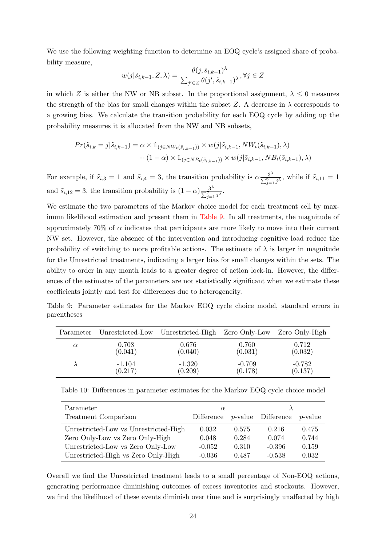We use the following weighting function to determine an EOQ cycle's assigned share of probability measure,

$$
w(j|\tilde{s}_{i,k-1}, Z, \lambda) = \frac{\theta(j, \tilde{s}_{i,k-1})^{\lambda}}{\sum_{j' \in Z} \theta(j', \tilde{s}_{i,k-1})^{\lambda}}, \forall j \in Z
$$

in which Z is either the NW or NB subset. In the proportional assignment,  $\lambda \leq 0$  measures the strength of the bias for small changes within the subset Z. A decrease in  $\lambda$  corresponds to a growing bias. We calculate the transition probability for each EOQ cycle by adding up the probability measures it is allocated from the NW and NB subsets,

$$
Pr(\tilde{s}_{i,k} = j | \tilde{s}_{i,k-1}) = \alpha \times 1_{(j \in NW_t(\tilde{s}_{i,k-1}))} \times w(j | \tilde{s}_{i,k-1}, NW_t(\tilde{s}_{i,k-1}), \lambda) + (1 - \alpha) \times 1_{(j \in NB_t(\tilde{s}_{i,k-1}))} \times w(j | \tilde{s}_{i,k-1}, NB_t(\tilde{s}_{i,k-1}), \lambda)
$$

For example, if  $\tilde{s}_{i,3} = 1$  and  $\tilde{s}_{i,4} = 3$ , the transition probability is  $\alpha \frac{3^{\lambda}}{\sum_{j=1}^{6} j^{\lambda}}$ , while if  $\tilde{s}_{i,11} = 1$ and  $\tilde{s}_{i,12} = 3$ , the transition probability is  $(1 - \alpha) \frac{3^{\lambda}}{\sum_{j=1}^{7} j^{\lambda}}$ .

We estimate the two parameters of the Markov choice model for each treatment cell by maximum likelihood estimation and present them in Table 9. In all treatments, the magnitude of approximately 70% of  $\alpha$  indicates that participants are more likely to move into their current NW set. However, the absence of the intervention and introducing cognitive load reduce the probability of switching to more profitable actions. The estimate of  $\lambda$  is larger in magnitude for the Unrestricted treatments, indicating a larger bias for small changes within the sets. The ability to order in any month leads to a greater degree of action lock-in. However, the differences of the estimates of the parameters are not statistically significant when we estimate these coefficients jointly and test for differences due to heterogeneity.

| Parameter | Unrestricted-Low | Unrestricted-High Zero Only-Low Zero Only-High |          |          |
|-----------|------------------|------------------------------------------------|----------|----------|
| $\alpha$  | 0.708            | 0.676                                          | 0.760    | 0.712    |
|           | (0.041)          | (0.040)                                        | (0.031)  | (0.032)  |
|           | $-1.104$         | $-1.320$                                       | $-0.709$ | $-0.782$ |
|           | (0.217)          | (0.209)                                        | (0.178)  | (0.137)  |

Table 9: Parameter estimates for the Markov EOQ cycle choice model, standard errors in parentheses

Table 10: Differences in parameter estimates for the Markov EOQ cycle choice model

| Parameter                             | $\alpha$   |       |                            |                 |
|---------------------------------------|------------|-------|----------------------------|-----------------|
| Treatment Comparison                  | Difference |       | <i>p</i> -value Difference | <i>p</i> -value |
| Unrestricted-Low vs Unrestricted-High | 0.032      | 0.575 | 0.216                      | 0.475           |
| Zero Only-Low vs Zero Only-High       | 0.048      | 0.284 | 0.074                      | 0.744           |
| Unrestricted-Low vs Zero Only-Low     | $-0.052$   | 0.310 | $-0.396$                   | 0.159           |
| Unrestricted-High vs Zero Only-High   | $-0.036$   | 0.487 | $-0.538$                   | 0.032           |

Overall we find the Unrestricted treatment leads to a small percentage of Non-EOQ actions, generating performance diminishing outcomes of excess inventories and stockouts. However, we find the likelihood of these events diminish over time and is surprisingly unaffected by high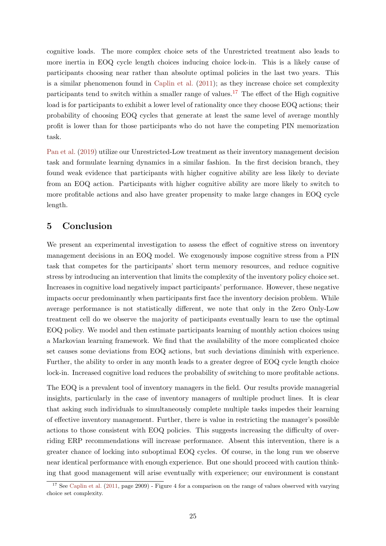cognitive loads. The more complex choice sets of the Unrestricted treatment also leads to more inertia in EOQ cycle length choices inducing choice lock-in. This is a likely cause of participants choosing near rather than absolute optimal policies in the last two years. This is a similar phenomenon found in Caplin et al. (2011); as they increase choice set complexity participants tend to switch within a smaller range of values.<sup>17</sup> The effect of the High cognitive load is for participants to exhibit a lower level of rationality once they choose EOQ actions; their probability of choosing EOQ cycles that generate at least the same level of average monthly profit is lower than for those participants who do not have the competing PIN memorization task.

Pan et al. (2019) utilize our Unrestricted-Low treatment as their inventory management decision task and formulate learning dynamics in a similar fashion. In the first decision branch, they found weak evidence that participants with higher cognitive ability are less likely to deviate from an EOQ action. Participants with higher cognitive ability are more likely to switch to more profitable actions and also have greater propensity to make large changes in EOQ cycle length.

# 5 Conclusion

We present an experimental investigation to assess the effect of cognitive stress on inventory management decisions in an EOQ model. We exogenously impose cognitive stress from a PIN task that competes for the participants' short term memory resources, and reduce cognitive stress by introducing an intervention that limits the complexity of the inventory policy choice set. Increases in cognitive load negatively impact participants' performance. However, these negative impacts occur predominantly when participants first face the inventory decision problem. While average performance is not statistically different, we note that only in the Zero Only-Low treatment cell do we observe the majority of participants eventually learn to use the optimal EOQ policy. We model and then estimate participants learning of monthly action choices using a Markovian learning framework. We find that the availability of the more complicated choice set causes some deviations from EOQ actions, but such deviations diminish with experience. Further, the ability to order in any month leads to a greater degree of EOQ cycle length choice lock-in. Increased cognitive load reduces the probability of switching to more profitable actions.

The EOQ is a prevalent tool of inventory managers in the field. Our results provide managerial insights, particularly in the case of inventory managers of multiple product lines. It is clear that asking such individuals to simultaneously complete multiple tasks impedes their learning of effective inventory management. Further, there is value in restricting the manager's possible actions to those consistent with EOQ policies. This suggests increasing the difficulty of overriding ERP recommendations will increase performance. Absent this intervention, there is a greater chance of locking into suboptimal EOQ cycles. Of course, in the long run we observe near identical performance with enough experience. But one should proceed with caution thinking that good management will arise eventually with experience; our environment is constant

<sup>&</sup>lt;sup>17</sup> See Caplin et al.  $(2011, \text{ page } 2909)$  - Figure 4 for a comparison on the range of values observed with varying choice set complexity.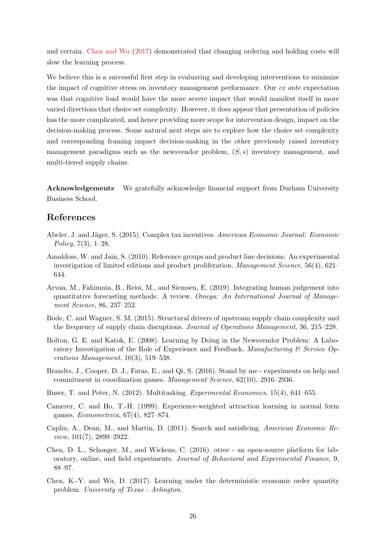and certain. Chen and Wu (2017) demonstrated that changing ordering and holding costs will slow the learning process.

We believe this is a successful first step in evaluating and developing interventions to minimize the impact of cognitive stress on inventory management performance. Our ex ante expectation was that cognitive load would have the more severe impact that would manifest itself in more varied directions that choice set complexity. However, it does appear that presentation of policies has the more complicated, and hence providing more scope for intervention design, impact on the decision-making process. Some natural next steps are to explore how the choice set complexity and corresponding framing impact decision-making in the other previously raised inventory management paradigms such as the newsvendor problem,  $(S, s)$  inventory management, and multi-tiered supply chains.

Acknowledgements We gratefully acknowledge financial support from Durham University Business School.

# References

- Abeler, J. and Jäger, S. (2015). Complex tax incentives. American Economic Journal: Economic Policy, 7(3), 1–28.
- Amaldoss, W. and Jain, S. (2010). Reference groups and product line decisions: An experimental investigation of limited editions and product proliferation. Management Science, 56(4), 621– 644.
- Arvan, M., Fahimnia, B., Reisi, M., and Siemsen, E. (2019). Integrating human judgement into quantitative forecasting methods: A review. Omega: An International Journal of Management Science, 86, 237–252.
- Bode, C. and Wagner, S. M. (2015). Structural drivers of upstream supply chain complexity and the frequency of supply chain disruptions. Journal of Operations Management, 36, 215–228.
- Bolton, G. E. and Katok, E. (2008). Learning by Doing in the Newsvendor Problem: A Laboratory Investigation of the Role of Experience and Feedback. Manufacturing  $\mathcal C$  Service Operations Management, 10(3), 519–538.
- Brandts, J., Cooper, D. J., Fatas, E., and Qi, S. (2016). Stand by me experiments on help and commitment in coordination games. Management Science, 62(10), 2916–2936.
- Buser, T. and Peter, N. (2012). Multitasking. Experimental Economics, 15(4), 641–655.
- Camerer, C. and Ho, T.-H. (1999). Experience-weighted attraction learning in normal form games. Econometrica, 67(4), 827–874.
- Caplin, A., Dean, M., and Martin, D. (2011). Search and satisficing. American Economic Review, 101(7), 2899–2922.
- Chen, D. L., Schonger, M., and Wickens, C. (2016). otree an open-source platform for laboratory, online, and field experiments. Journal of Behavioral and Experimental Finance, 9, 88–97.
- Chen, K.-Y. and Wu, D. (2017). Learning under the deterministic economic order quantity problem. University of Texas - Arlington.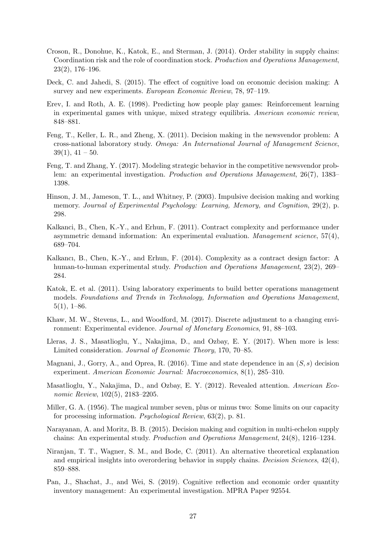- Croson, R., Donohue, K., Katok, E., and Sterman, J. (2014). Order stability in supply chains: Coordination risk and the role of coordination stock. Production and Operations Management, 23(2), 176–196.
- Deck, C. and Jahedi, S. (2015). The effect of cognitive load on economic decision making: A survey and new experiments. European Economic Review, 78, 97–119.
- Erev, I. and Roth, A. E. (1998). Predicting how people play games: Reinforcement learning in experimental games with unique, mixed strategy equilibria. American economic review, 848–881.
- Feng, T., Keller, L. R., and Zheng, X. (2011). Decision making in the newsvendor problem: A cross-national laboratory study. Omega: An International Journal of Management Science,  $39(1), 41-50.$
- Feng, T. and Zhang, Y. (2017). Modeling strategic behavior in the competitive newsvendor problem: an experimental investigation. Production and Operations Management, 26(7), 1383– 1398.
- Hinson, J. M., Jameson, T. L., and Whitney, P. (2003). Impulsive decision making and working memory. Journal of Experimental Psychology: Learning, Memory, and Cognition, 29(2), p. 298.
- Kalkanci, B., Chen, K.-Y., and Erhun, F. (2011). Contract complexity and performance under asymmetric demand information: An experimental evaluation. Management science, 57(4), 689–704.
- Kalkancı, B., Chen, K.-Y., and Erhun, F. (2014). Complexity as a contract design factor: A human-to-human experimental study. Production and Operations Management, 23(2), 269– 284.
- Katok, E. et al. (2011). Using laboratory experiments to build better operations management models. Foundations and Trends in Technology, Information and Operations Management,  $5(1), 1–86.$
- Khaw, M. W., Stevens, L., and Woodford, M. (2017). Discrete adjustment to a changing environment: Experimental evidence. Journal of Monetary Economics, 91, 88–103.
- Lleras, J. S., Masatlioglu, Y., Nakajima, D., and Ozbay, E. Y. (2017). When more is less: Limited consideration. Journal of Economic Theory, 170, 70–85.
- Magnani, J., Gorry, A., and Oprea, R. (2016). Time and state dependence in an  $(S, s)$  decision experiment. American Economic Journal: Macroeconomics, 8(1), 285–310.
- Masatlioglu, Y., Nakajima, D., and Ozbay, E. Y. (2012). Revealed attention. American Economic Review, 102(5), 2183–2205.
- Miller, G. A. (1956). The magical number seven, plus or minus two: Some limits on our capacity for processing information. Psychological Review, 63(2), p. 81.
- Narayanan, A. and Moritz, B. B. (2015). Decision making and cognition in multi-echelon supply chains: An experimental study. Production and Operations Management, 24(8), 1216–1234.
- Niranjan, T. T., Wagner, S. M., and Bode, C. (2011). An alternative theoretical explanation and empirical insights into overordering behavior in supply chains. Decision Sciences,  $42(4)$ , 859–888.
- Pan, J., Shachat, J., and Wei, S. (2019). Cognitive reflection and economic order quantity inventory management: An experimental investigation. MPRA Paper 92554.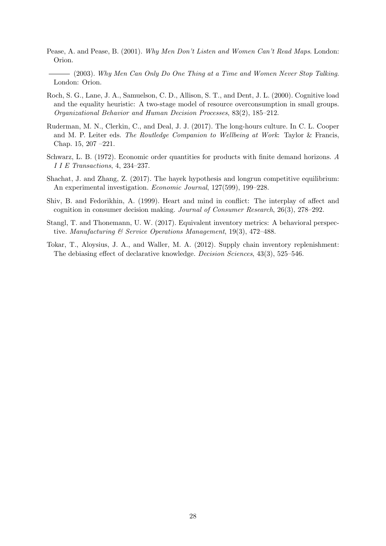- Pease, A. and Pease, B. (2001). Why Men Don't Listen and Women Can't Read Maps. London: Orion.
	- $-$  (2003). Why Men Can Only Do One Thing at a Time and Women Never Stop Talking. London: Orion.
- Roch, S. G., Lane, J. A., Samuelson, C. D., Allison, S. T., and Dent, J. L. (2000). Cognitive load and the equality heuristic: A two-stage model of resource overconsumption in small groups. Organizational Behavior and Human Decision Processes, 83(2), 185–212.
- Ruderman, M. N., Clerkin, C., and Deal, J. J. (2017). The long-hours culture. In C. L. Cooper and M. P. Leiter eds. The Routledge Companion to Wellbeing at Work: Taylor & Francis, Chap. 15, 207 –221.
- Schwarz, L. B. (1972). Economic order quantities for products with finite demand horizons. A I I E Transactions, 4, 234–237.
- Shachat, J. and Zhang, Z. (2017). The hayek hypothesis and longrun competitive equilibrium: An experimental investigation. Economic Journal, 127(599), 199–228.
- Shiv, B. and Fedorikhin, A. (1999). Heart and mind in conflict: The interplay of affect and cognition in consumer decision making. Journal of Consumer Research, 26(3), 278–292.
- Stangl, T. and Thonemann, U. W. (2017). Equivalent inventory metrics: A behavioral perspective. Manufacturing & Service Operations Management, 19(3), 472–488.
- Tokar, T., Aloysius, J. A., and Waller, M. A. (2012). Supply chain inventory replenishment: The debiasing effect of declarative knowledge. Decision Sciences, 43(3), 525–546.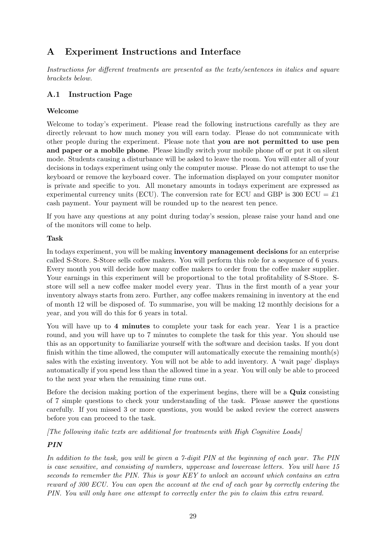# A Experiment Instructions and Interface

Instructions for different treatments are presented as the texts/sentences in italics and square brackets below.

# A.1 Instruction Page

## Welcome

Welcome to today's experiment. Please read the following instructions carefully as they are directly relevant to how much money you will earn today. Please do not communicate with other people during the experiment. Please note that you are not permitted to use pen and paper or a mobile phone. Please kindly switch your mobile phone off or put it on silent mode. Students causing a disturbance will be asked to leave the room. You will enter all of your decisions in todays experiment using only the computer mouse. Please do not attempt to use the keyboard or remove the keyboard cover. The information displayed on your computer monitor is private and specific to you. All monetary amounts in todays experiment are expressed as experimental currency units (ECU). The conversion rate for ECU and GBP is 300 ECU =  $\pounds1$ cash payment. Your payment will be rounded up to the nearest ten pence.

If you have any questions at any point during today's session, please raise your hand and one of the monitors will come to help.

#### Task

In todays experiment, you will be making inventory management decisions for an enterprise called S-Store. S-Store sells coffee makers. You will perform this role for a sequence of 6 years. Every month you will decide how many coffee makers to order from the coffee maker supplier. Your earnings in this experiment will be proportional to the total profitability of S-Store. Sstore will sell a new coffee maker model every year. Thus in the first month of a year your inventory always starts from zero. Further, any coffee makers remaining in inventory at the end of month 12 will be disposed of. To summarise, you will be making 12 monthly decisions for a year, and you will do this for 6 years in total.

You will have up to 4 minutes to complete your task for each year. Year 1 is a practice round, and you will have up to 7 minutes to complete the task for this year. You should use this as an opportunity to familiarize yourself with the software and decision tasks. If you dont finish within the time allowed, the computer will automatically execute the remaining month(s) sales with the existing inventory. You will not be able to add inventory. A 'wait page' displays automatically if you spend less than the allowed time in a year. You will only be able to proceed to the next year when the remaining time runs out.

Before the decision making portion of the experiment begins, there will be a Quiz consisting of 7 simple questions to check your understanding of the task. Please answer the questions carefully. If you missed 3 or more questions, you would be asked review the correct answers before you can proceed to the task.

[The following italic texts are additional for treatments with High Cognitive Loads]

# PIN

In addition to the task, you will be given a 7-digit PIN at the beginning of each year. The PIN is case sensitive, and consisting of numbers, uppercase and lowercase letters. You will have 15 seconds to remember the PIN. This is your KEY to unlock an account which contains an extra reward of 300 ECU. You can open the account at the end of each year by correctly entering the PIN. You will only have one attempt to correctly enter the pin to claim this extra reward.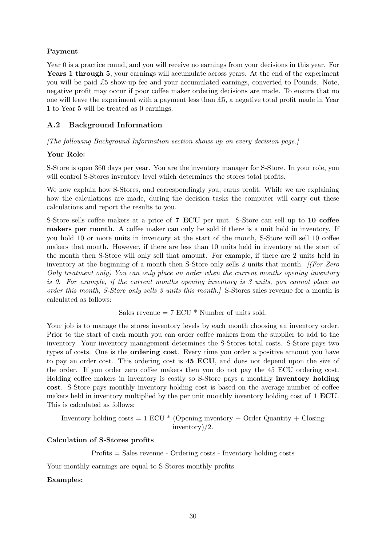## Payment

Year 0 is a practice round, and you will receive no earnings from your decisions in this year. For Years 1 through 5, your earnings will accumulate across years. At the end of the experiment you will be paid  $£5$  show-up fee and your accumulated earnings, converted to Pounds. Note, negative profit may occur if poor coffee maker ordering decisions are made. To ensure that no one will leave the experiment with a payment less than  $£5$ , a negative total profit made in Year 1 to Year 5 will be treated as 0 earnings.

# A.2 Background Information

[The following Background Information section shows up on every decision page.]

## Your Role:

S-Store is open 360 days per year. You are the inventory manager for S-Store. In your role, you will control S-Stores inventory level which determines the stores total profits.

We now explain how S-Stores, and correspondingly you, earns profit. While we are explaining how the calculations are made, during the decision tasks the computer will carry out these calculations and report the results to you.

S-Store sells coffee makers at a price of 7 ECU per unit. S-Store can sell up to 10 coffee makers per month. A coffee maker can only be sold if there is a unit held in inventory. If you hold 10 or more units in inventory at the start of the month, S-Store will sell 10 coffee makers that month. However, if there are less than 10 units held in inventory at the start of the month then S-Store will only sell that amount. For example, if there are 2 units held in inventory at the beginning of a month then S-Store only sells 2 units that month. *[(For Zero*)] Only treatment only) You can only place an order when the current months opening inventory is 0. For example, if the current months opening inventory is 3 units, you cannot place an order this month, S-Store only sells 3 units this month.] S-Stores sales revenue for a month is calculated as follows:

Sales revenue  $= 7$  ECU  $*$  Number of units sold.

Your job is to manage the stores inventory levels by each month choosing an inventory order. Prior to the start of each month you can order coffee makers from the supplier to add to the inventory. Your inventory management determines the S-Stores total costs. S-Store pays two types of costs. One is the ordering cost. Every time you order a positive amount you have to pay an order cost. This ordering cost is 45 ECU, and does not depend upon the size of the order. If you order zero coffee makers then you do not pay the 45 ECU ordering cost. Holding coffee makers in inventory is costly so S-Store pays a monthly inventory holding cost. S-Store pays monthly inventory holding cost is based on the average number of coffee makers held in inventory multiplied by the per unit monthly inventory holding cost of 1 ECU. This is calculated as follows:

Inventory holding costs  $= 1$  ECU  $*$  (Opening inventory + Order Quantity + Closing inventory)/2.

#### Calculation of S-Stores profits

Profits = Sales revenue - Ordering costs - Inventory holding costs

Your monthly earnings are equal to S-Stores monthly profits.

## Examples: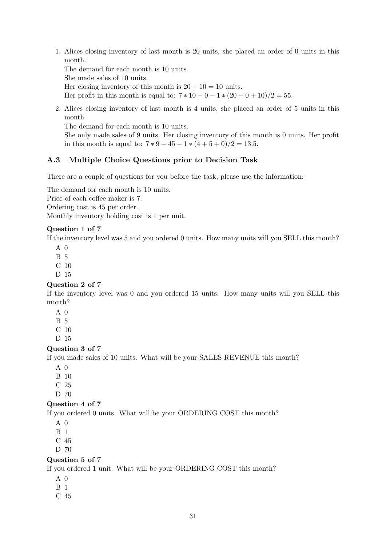1. Alices closing inventory of last month is 20 units, she placed an order of 0 units in this month.

The demand for each month is 10 units.

She made sales of 10 units.

Her closing inventory of this month is  $20 - 10 = 10$  units.

Her profit in this month is equal to:  $7 * 10 - 0 - 1 * (20 + 0 + 10)/2 = 55$ .

2. Alices closing inventory of last month is 4 units, she placed an order of 5 units in this month.

The demand for each month is 10 units.

She only made sales of 9 units. Her closing inventory of this month is 0 units. Her profit in this month is equal to:  $7 * 9 - 45 - 1 * (4 + 5 + 0)/2 = 13.5$ .

#### A.3 Multiple Choice Questions prior to Decision Task

There are a couple of questions for you before the task, please use the information:

The demand for each month is 10 units.

Price of each coffee maker is 7.

Ordering cost is 45 per order.

Monthly inventory holding cost is 1 per unit.

#### Question 1 of 7

If the inventory level was 5 and you ordered 0 units. How many units will you SELL this month?

 $A \theta$ 

- B 5
- C 10
- D 15

#### Question 2 of 7

If the inventory level was 0 and you ordered 15 units. How many units will you SELL this month?

- A 0
- B 5
- C 10
- D 15

#### Question 3 of 7

If you made sales of 10 units. What will be your SALES REVENUE this month?

- $A \theta$
- B 10
- C 25
- D 70

#### Question 4 of 7

If you ordered 0 units. What will be your ORDERING COST this month?

- $A \theta$
- B 1
- C 45
- D 70

#### Question 5 of 7

If you ordered 1 unit. What will be your ORDERING COST this month?

- A 0
- B 1
- C 45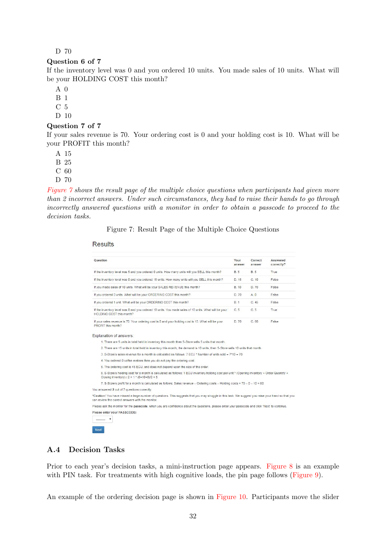#### D 70

#### Question 6 of 7

If the inventory level was 0 and you ordered 10 units. You made sales of 10 units. What will be your HOLDING COST this month?

A 0

B 1

C 5

D 10

#### Question 7 of 7

If your sales revenue is 70. Your ordering cost is 0 and your holding cost is 10. What will be your PROFIT this month?

A 15

B 25

C 60

D 70

Figure 7 shows the result page of the multiple choice questions when participants had given more than 2 incorrect answers. Under such circumstances, they had to raise their hands to go through incorrectly answered questions with a monitor in order to obtain a passcode to proceed to the decision tasks.

#### Figure 7: Result Page of the Multiple Choice Questions

#### **Results**

| Question                                                                                                                                                                                                | Your<br>answer | Correct<br>answer | Answered<br>correctly? |
|---------------------------------------------------------------------------------------------------------------------------------------------------------------------------------------------------------|----------------|-------------------|------------------------|
| If the inventory level was 5 and you ordered 0 units. How many units will you SELL this month?                                                                                                          | <b>B.5</b>     | <b>B.5</b>        | True                   |
| If the inventory level was 0 and you ordered 15 units. How many units will you SELL this month?                                                                                                         | D. 15          | C. 10             | False                  |
| If you made sales of 10 units. What will be your SALES REVENUE this month?                                                                                                                              | <b>B.</b> 10   | D. 70             | False                  |
| If you ordered 0 units. What will be your ORDERING COST this month?                                                                                                                                     | D. 70          | A <sub>0</sub>    | False                  |
| If you ordered 1 unit. What will be your ORDERING COST this month?                                                                                                                                      | <b>B.1</b>     | C.45              | False                  |
| If the inventory level was 0 and you ordered 10 units. You made sales of 10 units. What will be your<br>HOLDING COST this month?                                                                        | C.5            | C.5               | <b>True</b>            |
| If your sales revenue is 70. Your ordering cost is 0 and your holding cost is 10. What will be your<br>PROFIT this month?                                                                               | D. 70          | C.60              | False                  |
| Explanation of answers:                                                                                                                                                                                 |                |                   |                        |
| 1. There are 5 units in total held in inventory this month then S-Store sells 5 units that month.                                                                                                       |                |                   |                        |
| 2. There are 15 units in total held in inventory this month, the demand is 10 units, then S-Store sells 10 units that month.                                                                            |                |                   |                        |
| 3. S-Store's sales revenue for a month is calculated as follows: 7 ECU * Number of units sold = 7*10 = 70                                                                                               |                |                   |                        |
| 4. You ordered 0 coffee makers then you do not pay the ordering cost.                                                                                                                                   |                |                   |                        |
| 5. The ordering cost is 45 ECU, and does not depend upon the size of the order.                                                                                                                         |                |                   |                        |
| 6. S-Store's holding cost for a month is calculated as follows: 1 ECU inventory holding cost per unit * (Opening inventory + Order Quantity +<br>Closing inventory) / $2 = 1 * (0 + 10 + 0)/2 = 5$      |                |                   |                        |
| 7. S-Store's profit for a month is calculated as follows: Sales revenue - Ordering costs - Holding costs = 70 - 0 - 10 = 60                                                                             |                |                   |                        |
| You answered 2 out of 7 questions correctly.                                                                                                                                                            |                |                   |                        |
| *Caution! You have missed a large number of questions. This suggests that you may struggle in this task. We suggest you raise your hand so that you<br>can review the correct answers with the monitor. |                |                   |                        |
| Please ask the monitor for the passcode, when you are confidence about the questions, please enter your passcode and click 'Next' to continue.                                                          |                |                   |                        |
|                                                                                                                                                                                                         |                |                   |                        |

#### A.4 Decision Tasks

Prior to each year's decision tasks, a mini-instruction page appears. Figure 8 is an example with PIN task. For treatments with high cognitive loads, the pin page follows (Figure 9).

An example of the ordering decision page is shown in Figure 10. Participants move the slider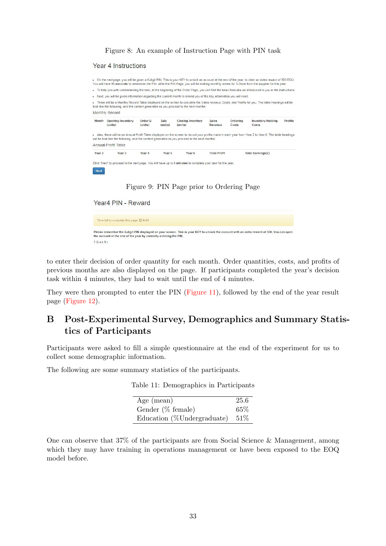Figure 8: An example of Instruction Page with PIN task

#### **Year 4 Instructions**

|                   |                                     |                    |                 |                                                                                                                     |                         |                   | You will have 15 seconds to remember the PIN. After the PIN Page, you will be making monthly orders for S-Store from the supplier for this year.<br>To help you with understanding the task, at the beginning of the Order Page, you can find the basic formulas we introduced to you in the instructions. |                |
|-------------------|-------------------------------------|--------------------|-----------------|---------------------------------------------------------------------------------------------------------------------|-------------------------|-------------------|------------------------------------------------------------------------------------------------------------------------------------------------------------------------------------------------------------------------------------------------------------------------------------------------------------|----------------|
| ٠                 |                                     |                    |                 | Next, you will be given information regarding the current month to remind you of the key information you will need. |                         |                   |                                                                                                                                                                                                                                                                                                            |                |
|                   |                                     |                    |                 | look like the following, and the content generates as you proceed to the next months:                               |                         |                   | . There will be a Monthly Record Table displayed on the screen to calculate the Sales revenue, Costs, and Profits for you. The table headings will be                                                                                                                                                      |                |
|                   | Monthly Record                      |                    |                 |                                                                                                                     |                         |                   |                                                                                                                                                                                                                                                                                                            |                |
| Month             | <b>Opening Inventory</b><br>(units) | Order Q<br>(units) | Sale<br>(units) | <b>Closing Inventory</b><br>(units)                                                                                 | <b>Sales</b><br>Revenue | Ordering<br>Costs | <b>Inventory Holding</b><br>Costs                                                                                                                                                                                                                                                                          | <b>Profits</b> |
|                   |                                     |                    |                 | will be look like the following, and the content generates as you proceed to the next months:                       |                         |                   | - Also, there will be an Annual Profit Table displayed on the screen to record your profits made in each year from Year 2 to Year 6. The table headings                                                                                                                                                    |                |
|                   |                                     |                    |                 |                                                                                                                     |                         |                   |                                                                                                                                                                                                                                                                                                            |                |
|                   | Annual Profit Table                 |                    |                 |                                                                                                                     |                         |                   |                                                                                                                                                                                                                                                                                                            |                |
| Year <sub>2</sub> | Year <sub>3</sub>                   | Year 4             | Year 5          | Year <sub>6</sub>                                                                                                   | <b>Total Profit</b>     |                   | Total Earnings(£)                                                                                                                                                                                                                                                                                          |                |
|                   |                                     |                    |                 | Click "Next" to proceed to the next page. You will have up to 4 minutes to complete your task for the year.         |                         |                   |                                                                                                                                                                                                                                                                                                            |                |
|                   |                                     |                    |                 |                                                                                                                     |                         |                   |                                                                                                                                                                                                                                                                                                            |                |

Figure 9: PIN Page prior to Ordering Page

Year4 PIN - Reward Time left to complete this page:  $\Theta$  0:04

Please remember the 6-digit PIN displayed on your screen. This is your KEY to unlock the account with an extra reward of 300. You can open the account at the end of the year by correctly entering the PIN.  $7Q4kBt$ 

to enter their decision of order quantity for each month. Order quantities, costs, and profits of previous months are also displayed on the page. If participants completed the year's decision task within 4 minutes, they had to wait until the end of 4 minutes.

They were then prompted to enter the PIN (Figure 11), followed by the end of the year result page (Figure 12).

# B Post-Experimental Survey, Demographics and Summary Statistics of Participants

Participants were asked to fill a simple questionnaire at the end of the experiment for us to collect some demographic information.

The following are some summary statistics of the participants.

|  |  | Table 11: Demographics in Participants |
|--|--|----------------------------------------|
|--|--|----------------------------------------|

| Age $(mean)$               | 25.6 |
|----------------------------|------|
| Gender $(\%$ female)       | 65%  |
| Education (%Undergraduate) | 51%  |

One can observe that 37% of the participants are from Social Science & Management, among which they may have training in operations management or have been exposed to the EOQ model before.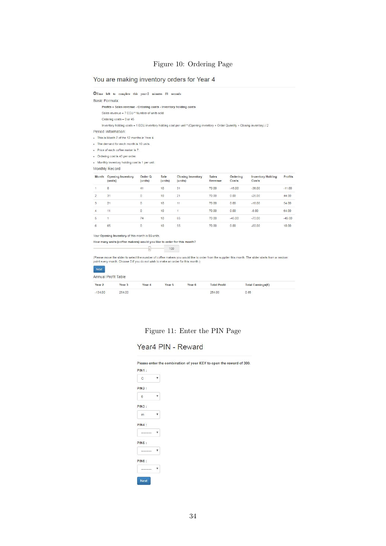#### Figure 10: Ordering Page

#### You are making inventory orders for Year 4

OTime left to complete this year:2 minutes 58 seconds

| Basic Formula: |  |
|----------------|--|
|                |  |

- Profits = Sales revenue Ordering costs Inventory holding costs
- Sales revenue = 7 ECU \* Number of units sold
- Ordering costs = 0 or 45

Inventory holding costs = 1 ECU inventory holding cost per unit \* (Opening inventory + Order Quantity + Closing inventory) / 2

Period Information:

- . This is Month 7 of the 12 months in Year 4.
- . The demand for each month is 10 units
- · Price of each coffee maker is 7.
- Ordering cost is 45 per order

. Monthly inventory holding cost is 1 per unit.

Monthly Record

| Month          | <b>Opening Inventory</b><br>(units) | Order Q<br>(units) | Sale<br>(units) | <b>Closing Inventory</b><br>(units) | Sales<br>Revenue | Ordering<br>Costs | <b>Inventory Holding</b><br>Costs | Profits  |
|----------------|-------------------------------------|--------------------|-----------------|-------------------------------------|------------------|-------------------|-----------------------------------|----------|
|                | 0                                   | 41                 | 10              | 31                                  | 70.00            | $-45.00$          | $-36.00$                          | $-11.00$ |
| $\overline{2}$ | 31                                  | $\circ$            | 10              | 21                                  | 70.00            | 0.00              | $-26.00$                          | 44.00    |
| 3              | 21                                  | 0                  | 10              | 11                                  | 70.00            | 0.00              | $-16.00$                          | 54.00    |
| $\overline{4}$ | 11                                  | $\overline{0}$     | 10              |                                     | 70.00            | 0.00              | $-6.00$                           | 64.00    |
| 5              |                                     | 74                 | 10              | 65                                  | 70.00            | $-45.00$          | $-70.00$                          | $-45.00$ |
| $\overline{6}$ | 65                                  | o<br>$\sim$        | 10              | 55                                  | 70.00            | 0.00              | $-60.00$                          | 10.00    |

#### Your Opening Inventory of this month is 55 units

How many units (coffee makers) would you like to order for this month?

 $\boxed{100}$ 

(Please move the slider to select the number of coffee makers you would like to order from the supplier this month. The slider starts from a random<br>point every month. Choose 0 if you do not wish to make an order for this m

| Next                |                   |        |        |                   |                     |                   |  |
|---------------------|-------------------|--------|--------|-------------------|---------------------|-------------------|--|
| Annual Profit Table |                   |        |        |                   |                     |                   |  |
| Year <sub>2</sub>   | Year <sub>3</sub> | Year 4 | Year 5 | Year <sub>6</sub> | <b>Total Profit</b> | Total Earnings(€) |  |
| $-134.00$           | 254.00            |        |        |                   | 254.00              | 0.85              |  |

## Figure 11: Enter the PIN Page

# Year4 PIN - Reward

Please enter the combination of your KEY to open the reward of 300. **PIN1:**  $\mathbb{C}$  $\boldsymbol{\mathrm{v}}$  $PIN2$ :  $\mathsf{6}$  $\boldsymbol{\mathrm{v}}$  $PIN3:$  $_{\rm v}$  $\mathsf{m}$  $PIN4:$  $\begin{tabular}{ll} \multicolumn{2}{c|}{\textbf{...}}\\ \multicolumn{2}{c|}{\textbf{...}}\\ \multicolumn{2}{c|}{\textbf{...}}\\ \multicolumn{2}{c|}{\textbf{...}}\\ \multicolumn{2}{c|}{\textbf{...}}\\ \multicolumn{2}{c|}{\textbf{...}}\\ \multicolumn{2}{c|}{\textbf{...}}\\ \multicolumn{2}{c|}{\textbf{...}}\\ \multicolumn{2}{c|}{\textbf{...}}\\ \multicolumn{2}{c|}{\textbf{...}}\\ \multicolumn{2}{c|}{\textbf{...}}\\ \multicolumn{2}{c|}{\textbf{...}}\\ \multicolumn{2}{c$  $PIN5:$  $\overline{\phantom{a}}$  $\frac{1}{2}$  $PIN6:$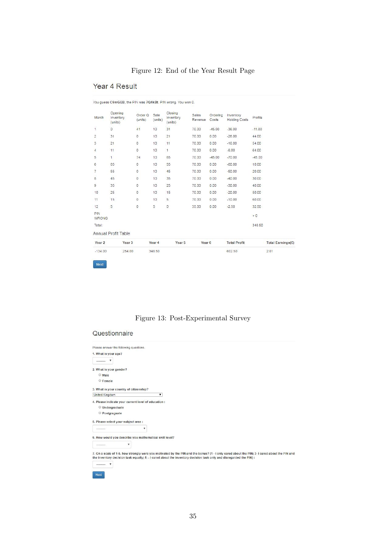# Figure 12: End of the Year Result Page

# Year 4 Result

| $-134.00$           | 254.00                          |                    | 348.50          |                                 |                   |                   | 602.50                            |          | 2.01              |
|---------------------|---------------------------------|--------------------|-----------------|---------------------------------|-------------------|-------------------|-----------------------------------|----------|-------------------|
| Year 2              | Year <sub>3</sub>               |                    | Year 4          | Year 5                          | Year <sub>6</sub> |                   | <b>Total Profit</b>               |          | Total Earnings(£) |
|                     | Annual Profit Table             |                    |                 |                                 |                   |                   |                                   |          |                   |
| Total:              |                                 |                    |                 |                                 |                   |                   |                                   | 348.50   |                   |
| PIN<br><b>WRONG</b> |                                 |                    |                 |                                 |                   |                   |                                   | $+0$     |                   |
| 12                  | 5                               | 0                  | 5               | 0                               | 35.00             | 0.00              | $-2.50$                           | 32.50    |                   |
| 11                  | 15                              | $\circ$            | 10              | 5                               | 70.00             | 0.00              | $-10.00$                          | 60.00    |                   |
| 10                  | 25                              | O                  | 10              | 15                              | 70.00             | 0.00              | $-20.00$                          | 50.00    |                   |
| 9                   | 35                              | $\circ$            | 10              | 25                              | 70.00             | 0.00              | $-30.00$                          | 40.00    |                   |
| 8                   | 45                              | 0                  | 10              | 35                              | 70.00             | 0.00              | $-40.00$                          | 30.00    |                   |
| 7                   | 55                              | O                  | 10              | 45                              | 70.00             | 0.00              | $-50.00$                          | 20.00    |                   |
| 6                   | 65                              | O                  | 10              | 55                              | 70.00             | 0.00              | $-60.00$                          | 10.00    |                   |
| 5                   | $\mathbf{1}$                    | 74                 | 10              | 65                              | 70.00             | $-45.00$          | $-70.00$                          | $-45.00$ |                   |
| 4                   | 11                              | $\mathsf D$        | 10              | $\mathbf{1}$                    | 70.00             | 0.00              | $-6.00$                           | 64.00    |                   |
| 3                   | 21                              | $\circ$            | 10              | 11                              | 70.00             | 0.00              | $-16.00$                          | 54.00    |                   |
| $\overline{2}$      | 31                              | $\circ$            | 10              | 21                              | 70.00             | 0.00              | $-26.00$                          | 44.00    |                   |
| $\overline{1}$      | $\circ$                         | 41                 | 10              | 31                              | 70.00             | $-45.00$          | $-36.00$                          | $-11.00$ |                   |
| Month               | Opening<br>Inventory<br>(units) | Order Q<br>(units) | Sale<br>(units) | Closing<br>Inventory<br>(units) | Sales<br>Revenue  | Ordering<br>Costs | Inventory<br><b>Holding Costs</b> | Profits  |                   |

# Figure 13: Post-Experimental Survey

#### Questionnaire

| Please answer the following questions.                                                                                                            |                                                                                                                                                                                                                                                                     |
|---------------------------------------------------------------------------------------------------------------------------------------------------|---------------------------------------------------------------------------------------------------------------------------------------------------------------------------------------------------------------------------------------------------------------------|
| 1. What is your age?                                                                                                                              |                                                                                                                                                                                                                                                                     |
| ---------                                                                                                                                         |                                                                                                                                                                                                                                                                     |
| 2. What is your gender?                                                                                                                           |                                                                                                                                                                                                                                                                     |
| <b>Male</b>                                                                                                                                       |                                                                                                                                                                                                                                                                     |
| <b>Female</b>                                                                                                                                     |                                                                                                                                                                                                                                                                     |
| 3. What is your country of citizenship?                                                                                                           |                                                                                                                                                                                                                                                                     |
| <b>United Kingdom</b>                                                                                                                             | ۰                                                                                                                                                                                                                                                                   |
| 4. Please indicate your current level of education :<br><b>Undergraduate</b><br>Postgraguate<br>5. Please select your subject area :<br>--------- | v                                                                                                                                                                                                                                                                   |
| 6. How would you describe you mathematical skill level?                                                                                           |                                                                                                                                                                                                                                                                     |
| ۷                                                                                                                                                 |                                                                                                                                                                                                                                                                     |
| v<br>---------<br>Next                                                                                                                            | 7. On a scale of 1-5, how strongly were you motivated by the PIN and the bonus? (1 - I only cared about the PIN; 3- I cared about the PIN and<br>the inventory decision task equally; 5 - I cared about the inventory decision task only and disregarded the PIN) : |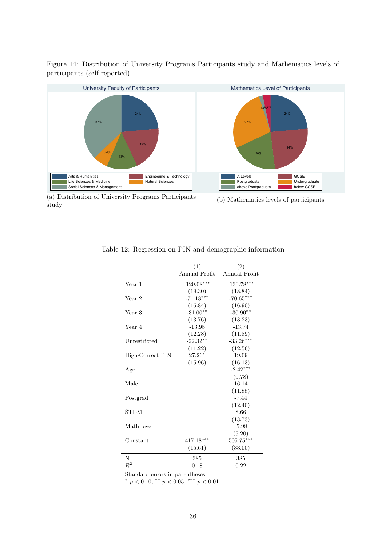



(a) Distribution of University Programs Participants study

(b) Mathematics levels of participants

|                  | (1)           | (2)           |
|------------------|---------------|---------------|
|                  | Annual Profit | Annual Profit |
| Year 1           | $-129.08***$  | $-130.78***$  |
|                  | (19.30)       | (18.84)       |
| Year 2           | $-71.18***$   | $-70.65***$   |
|                  | (16.84)       | (16.90)       |
| Year 3           | $-31.00**$    | $-30.90**$    |
|                  | (13.76)       | (13.23)       |
| Year 4           | $-13.95$      | $-13.74$      |
|                  | (12.28)       | (11.89)       |
| Unrestricted     | $-22.32**$    | $-33.26***$   |
|                  | (11.22)       | (12.56)       |
| High Correct PIN | $27.26*$      | 19.09         |
|                  | (15.96)       | (16.13)       |
| Age              |               | $-2.42***$    |
|                  |               | (0.78)        |
| Male             |               | 16.14         |
|                  |               | (11.88)       |
| Postgrad         |               | $-7.44$       |
|                  |               | (12.40)       |
| STEM             |               | 8.66          |
|                  |               | (13.73)       |
| Math level       |               | $-5.98$       |
|                  |               | (5.20)        |
| Constant         | $417.18***$   | $505.75***$   |
|                  | (15.61)       | (33.00)       |
| N                | 385           | 385           |
| $R^2$            | 0.18          | 0.22          |

Table 12: Regression on PIN and demographic information

Standard errors in parentheses

\*  $p < 0.10,$  \*\*  $p < 0.05,$  \*\*\*  $p < 0.01$